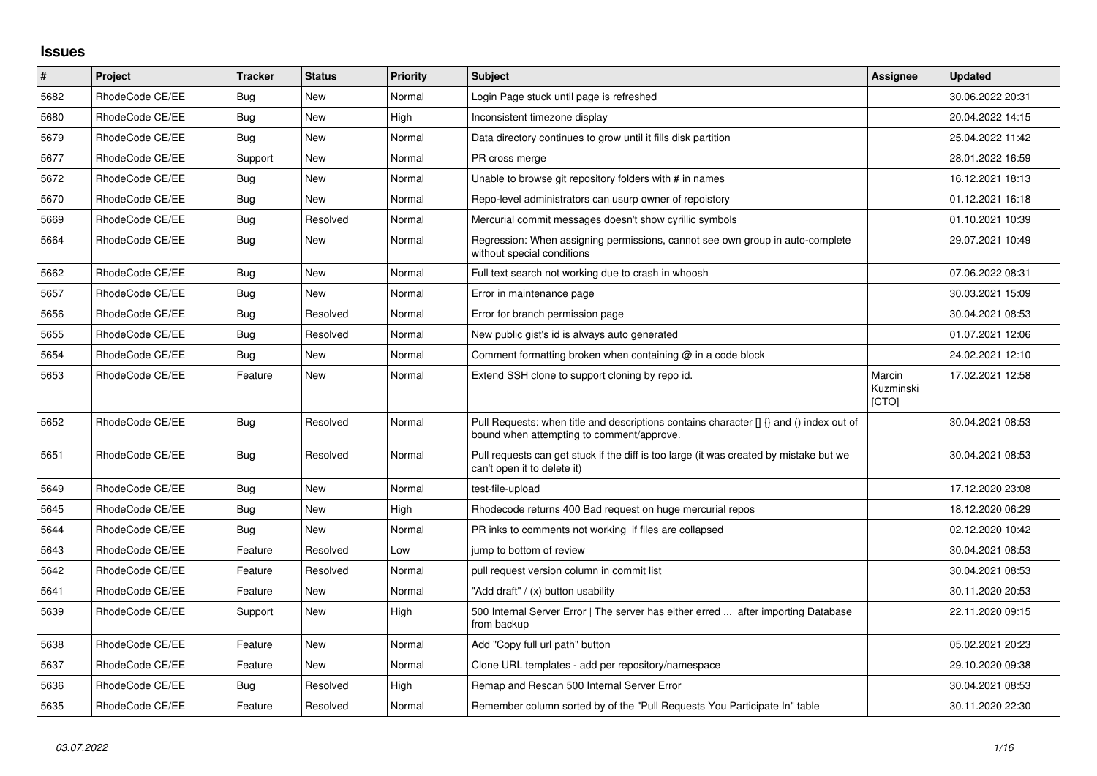## **Issues**

| $\vert$ # | Project         | <b>Tracker</b> | <b>Status</b> | <b>Priority</b> | <b>Subject</b>                                                                                                                            | Assignee                     | <b>Updated</b>   |
|-----------|-----------------|----------------|---------------|-----------------|-------------------------------------------------------------------------------------------------------------------------------------------|------------------------------|------------------|
| 5682      | RhodeCode CE/EE | Bug            | <b>New</b>    | Normal          | Login Page stuck until page is refreshed                                                                                                  |                              | 30.06.2022 20:31 |
| 5680      | RhodeCode CE/EE | Bug            | <b>New</b>    | High            | Inconsistent timezone display                                                                                                             |                              | 20.04.2022 14:15 |
| 5679      | RhodeCode CE/EE | Bug            | <b>New</b>    | Normal          | Data directory continues to grow until it fills disk partition                                                                            |                              | 25.04.2022 11:42 |
| 5677      | RhodeCode CE/EE | Support        | <b>New</b>    | Normal          | PR cross merge                                                                                                                            |                              | 28.01.2022 16:59 |
| 5672      | RhodeCode CE/EE | <b>Bug</b>     | <b>New</b>    | Normal          | Unable to browse git repository folders with # in names                                                                                   |                              | 16.12.2021 18:13 |
| 5670      | RhodeCode CE/EE | <b>Bug</b>     | <b>New</b>    | Normal          | Repo-level administrators can usurp owner of repoistory                                                                                   |                              | 01.12.2021 16:18 |
| 5669      | RhodeCode CE/EE | Bug            | Resolved      | Normal          | Mercurial commit messages doesn't show cyrillic symbols                                                                                   |                              | 01.10.2021 10:39 |
| 5664      | RhodeCode CE/EE | Bug            | <b>New</b>    | Normal          | Regression: When assigning permissions, cannot see own group in auto-complete<br>without special conditions                               |                              | 29.07.2021 10:49 |
| 5662      | RhodeCode CE/EE | Bug            | <b>New</b>    | Normal          | Full text search not working due to crash in whoosh                                                                                       |                              | 07.06.2022 08:31 |
| 5657      | RhodeCode CE/EE | Bug            | <b>New</b>    | Normal          | Error in maintenance page                                                                                                                 |                              | 30.03.2021 15:09 |
| 5656      | RhodeCode CE/EE | <b>Bug</b>     | Resolved      | Normal          | Error for branch permission page                                                                                                          |                              | 30.04.2021 08:53 |
| 5655      | RhodeCode CE/EE | Bug            | Resolved      | Normal          | New public gist's id is always auto generated                                                                                             |                              | 01.07.2021 12:06 |
| 5654      | RhodeCode CE/EE | Bug            | New           | Normal          | Comment formatting broken when containing $@$ in a code block                                                                             |                              | 24.02.2021 12:10 |
| 5653      | RhodeCode CE/EE | Feature        | <b>New</b>    | Normal          | Extend SSH clone to support cloning by repo id.                                                                                           | Marcin<br>Kuzminski<br>[CTO] | 17.02.2021 12:58 |
| 5652      | RhodeCode CE/EE | Bug            | Resolved      | Normal          | Pull Requests: when title and descriptions contains character $\iint$ {} and () index out of<br>bound when attempting to comment/approve. |                              | 30.04.2021 08:53 |
| 5651      | RhodeCode CE/EE | <b>Bug</b>     | Resolved      | Normal          | Pull requests can get stuck if the diff is too large (it was created by mistake but we<br>can't open it to delete it)                     |                              | 30.04.2021 08:53 |
| 5649      | RhodeCode CE/EE | <b>Bug</b>     | <b>New</b>    | Normal          | test-file-upload                                                                                                                          |                              | 17.12.2020 23:08 |
| 5645      | RhodeCode CE/EE | Bug            | <b>New</b>    | High            | Rhodecode returns 400 Bad request on huge mercurial repos                                                                                 |                              | 18.12.2020 06:29 |
| 5644      | RhodeCode CE/EE | Bug            | <b>New</b>    | Normal          | PR inks to comments not working if files are collapsed                                                                                    |                              | 02.12.2020 10:42 |
| 5643      | RhodeCode CE/EE | Feature        | Resolved      | Low             | jump to bottom of review                                                                                                                  |                              | 30.04.2021 08:53 |
| 5642      | RhodeCode CE/EE | Feature        | Resolved      | Normal          | pull request version column in commit list                                                                                                |                              | 30.04.2021 08:53 |
| 5641      | RhodeCode CE/EE | Feature        | <b>New</b>    | Normal          | "Add draft" / (x) button usability                                                                                                        |                              | 30.11.2020 20:53 |
| 5639      | RhodeCode CE/EE | Support        | <b>New</b>    | High            | 500 Internal Server Error   The server has either erred  after importing Database<br>from backup                                          |                              | 22.11.2020 09:15 |
| 5638      | RhodeCode CE/EE | Feature        | <b>New</b>    | Normal          | Add "Copy full url path" button                                                                                                           |                              | 05.02.2021 20:23 |
| 5637      | RhodeCode CE/EE | Feature        | New           | Normal          | Clone URL templates - add per repository/namespace                                                                                        |                              | 29.10.2020 09:38 |
| 5636      | RhodeCode CE/EE | Bug            | Resolved      | High            | Remap and Rescan 500 Internal Server Error                                                                                                |                              | 30.04.2021 08:53 |
| 5635      | RhodeCode CE/EE | Feature        | Resolved      | Normal          | Remember column sorted by of the "Pull Requests You Participate In" table                                                                 |                              | 30.11.2020 22:30 |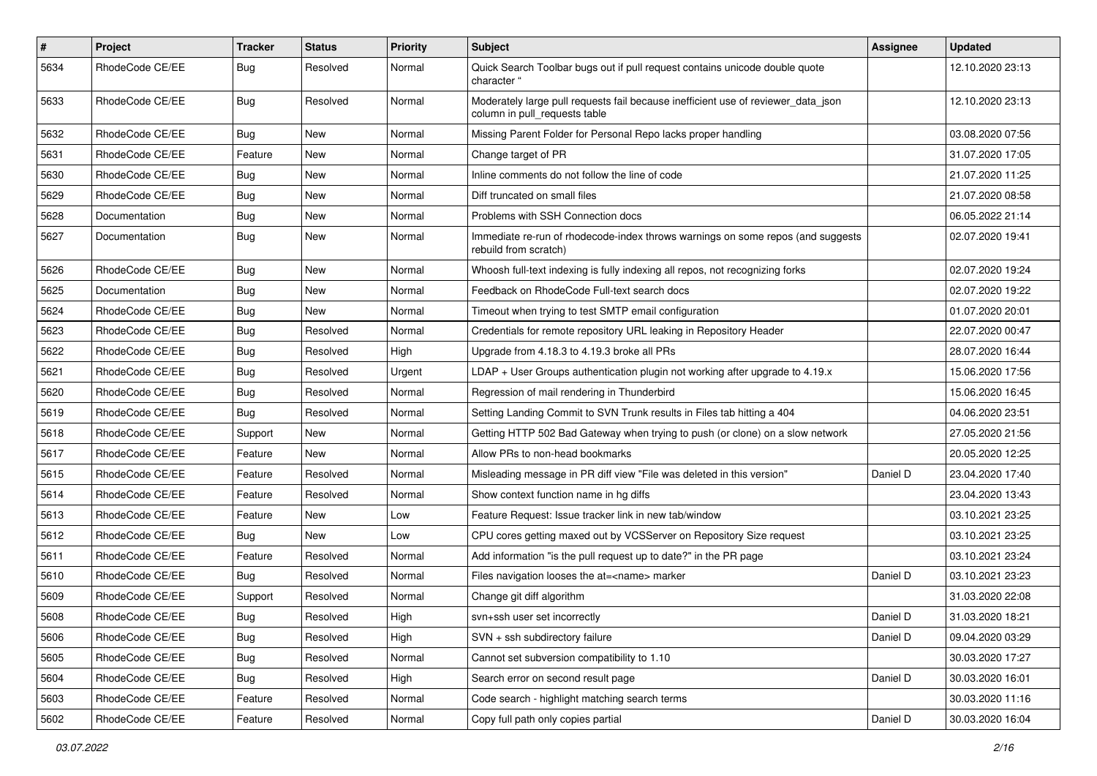| $\sharp$ | Project         | Tracker    | <b>Status</b> | <b>Priority</b> | <b>Subject</b>                                                                                                     | Assignee | <b>Updated</b>   |
|----------|-----------------|------------|---------------|-----------------|--------------------------------------------------------------------------------------------------------------------|----------|------------------|
| 5634     | RhodeCode CE/EE | <b>Bug</b> | Resolved      | Normal          | Quick Search Toolbar bugs out if pull request contains unicode double quote<br>character "                         |          | 12.10.2020 23:13 |
| 5633     | RhodeCode CE/EE | Bug        | Resolved      | Normal          | Moderately large pull requests fail because inefficient use of reviewer_data_json<br>column in pull requests table |          | 12.10.2020 23:13 |
| 5632     | RhodeCode CE/EE | Bug        | New           | Normal          | Missing Parent Folder for Personal Repo lacks proper handling                                                      |          | 03.08.2020 07:56 |
| 5631     | RhodeCode CE/EE | Feature    | New           | Normal          | Change target of PR                                                                                                |          | 31.07.2020 17:05 |
| 5630     | RhodeCode CE/EE | <b>Bug</b> | New           | Normal          | Inline comments do not follow the line of code                                                                     |          | 21.07.2020 11:25 |
| 5629     | RhodeCode CE/EE | Bug        | New           | Normal          | Diff truncated on small files                                                                                      |          | 21.07.2020 08:58 |
| 5628     | Documentation   | <b>Bug</b> | New           | Normal          | Problems with SSH Connection docs                                                                                  |          | 06.05.2022 21:14 |
| 5627     | Documentation   | Bug        | New           | Normal          | Immediate re-run of rhodecode-index throws warnings on some repos (and suggests<br>rebuild from scratch)           |          | 02.07.2020 19:41 |
| 5626     | RhodeCode CE/EE | Bug        | New           | Normal          | Whoosh full-text indexing is fully indexing all repos, not recognizing forks                                       |          | 02.07.2020 19:24 |
| 5625     | Documentation   | <b>Bug</b> | New           | Normal          | Feedback on RhodeCode Full-text search docs                                                                        |          | 02.07.2020 19:22 |
| 5624     | RhodeCode CE/EE | <b>Bug</b> | New           | Normal          | Timeout when trying to test SMTP email configuration                                                               |          | 01.07.2020 20:01 |
| 5623     | RhodeCode CE/EE | <b>Bug</b> | Resolved      | Normal          | Credentials for remote repository URL leaking in Repository Header                                                 |          | 22.07.2020 00:47 |
| 5622     | RhodeCode CE/EE | <b>Bug</b> | Resolved      | High            | Upgrade from 4.18.3 to 4.19.3 broke all PRs                                                                        |          | 28.07.2020 16:44 |
| 5621     | RhodeCode CE/EE | <b>Bug</b> | Resolved      | Urgent          | $LDAP + User Groups$ authentication plugin not working after upgrade to 4.19. $x$                                  |          | 15.06.2020 17:56 |
| 5620     | RhodeCode CE/EE | Bug        | Resolved      | Normal          | Regression of mail rendering in Thunderbird                                                                        |          | 15.06.2020 16:45 |
| 5619     | RhodeCode CE/EE | <b>Bug</b> | Resolved      | Normal          | Setting Landing Commit to SVN Trunk results in Files tab hitting a 404                                             |          | 04.06.2020 23:51 |
| 5618     | RhodeCode CE/EE | Support    | New           | Normal          | Getting HTTP 502 Bad Gateway when trying to push (or clone) on a slow network                                      |          | 27.05.2020 21:56 |
| 5617     | RhodeCode CE/EE | Feature    | New           | Normal          | Allow PRs to non-head bookmarks                                                                                    |          | 20.05.2020 12:25 |
| 5615     | RhodeCode CE/EE | Feature    | Resolved      | Normal          | Misleading message in PR diff view "File was deleted in this version"                                              | Daniel D | 23.04.2020 17:40 |
| 5614     | RhodeCode CE/EE | Feature    | Resolved      | Normal          | Show context function name in hg diffs                                                                             |          | 23.04.2020 13:43 |
| 5613     | RhodeCode CE/EE | Feature    | New           | Low             | Feature Request: Issue tracker link in new tab/window                                                              |          | 03.10.2021 23:25 |
| 5612     | RhodeCode CE/EE | Bug        | New           | Low             | CPU cores getting maxed out by VCSServer on Repository Size request                                                |          | 03.10.2021 23:25 |
| 5611     | RhodeCode CE/EE | Feature    | Resolved      | Normal          | Add information "is the pull request up to date?" in the PR page                                                   |          | 03.10.2021 23:24 |
| 5610     | RhodeCode CE/EE | Bug        | Resolved      | Normal          | Files navigation looses the at= <name> marker</name>                                                               | Daniel D | 03.10.2021 23:23 |
| 5609     | RhodeCode CE/EE | Support    | Resolved      | Normal          | Change git diff algorithm                                                                                          |          | 31.03.2020 22:08 |
| 5608     | RhodeCode CE/EE | Bug        | Resolved      | High            | svn+ssh user set incorrectly                                                                                       | Daniel D | 31.03.2020 18:21 |
| 5606     | RhodeCode CE/EE | <b>Bug</b> | Resolved      | High            | SVN + ssh subdirectory failure                                                                                     | Daniel D | 09.04.2020 03:29 |
| 5605     | RhodeCode CE/EE | Bug        | Resolved      | Normal          | Cannot set subversion compatibility to 1.10                                                                        |          | 30.03.2020 17:27 |
| 5604     | RhodeCode CE/EE | <b>Bug</b> | Resolved      | High            | Search error on second result page                                                                                 | Daniel D | 30.03.2020 16:01 |
| 5603     | RhodeCode CE/EE | Feature    | Resolved      | Normal          | Code search - highlight matching search terms                                                                      |          | 30.03.2020 11:16 |
| 5602     | RhodeCode CE/EE | Feature    | Resolved      | Normal          | Copy full path only copies partial                                                                                 | Daniel D | 30.03.2020 16:04 |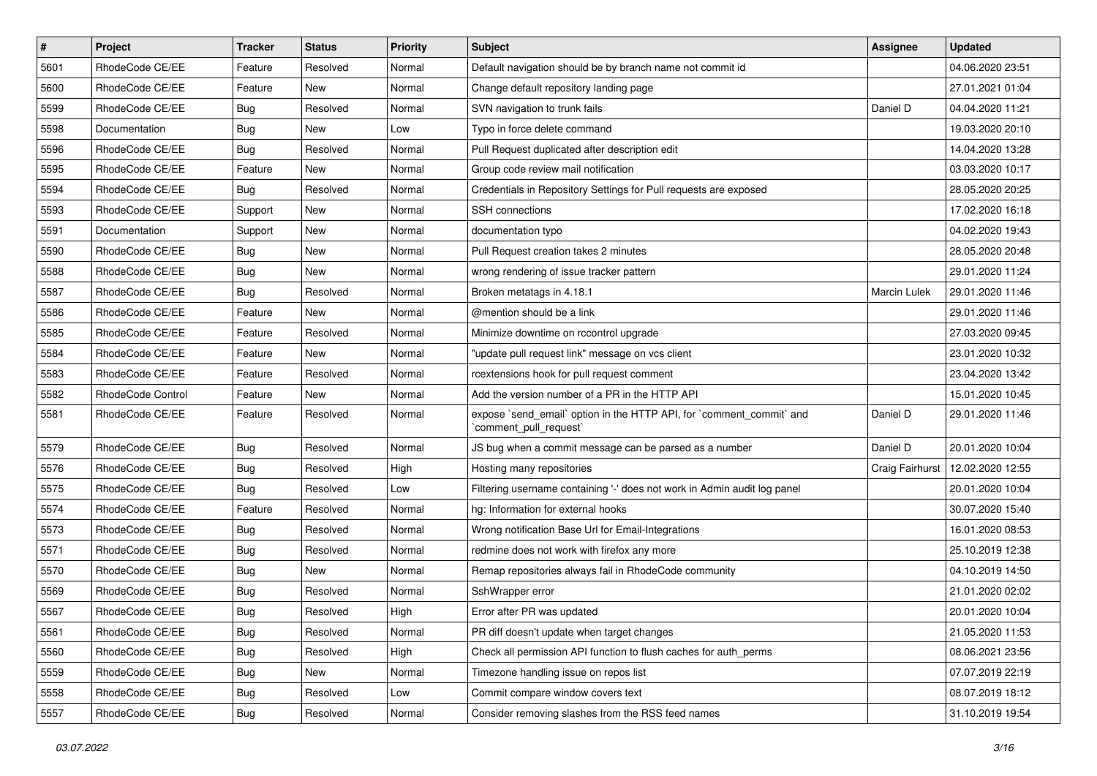| $\pmb{\#}$ | Project                  | <b>Tracker</b> | <b>Status</b> | <b>Priority</b> | <b>Subject</b>                                                                                 | <b>Assignee</b> | <b>Updated</b>   |
|------------|--------------------------|----------------|---------------|-----------------|------------------------------------------------------------------------------------------------|-----------------|------------------|
| 5601       | RhodeCode CE/EE          | Feature        | Resolved      | Normal          | Default navigation should be by branch name not commit id                                      |                 | 04.06.2020 23:51 |
| 5600       | RhodeCode CE/EE          | Feature        | <b>New</b>    | Normal          | Change default repository landing page                                                         |                 | 27.01.2021 01:04 |
| 5599       | RhodeCode CE/EE          | Bug            | Resolved      | Normal          | SVN navigation to trunk fails                                                                  | Daniel D        | 04.04.2020 11:21 |
| 5598       | Documentation            | <b>Bug</b>     | New           | Low             | Typo in force delete command                                                                   |                 | 19.03.2020 20:10 |
| 5596       | RhodeCode CE/EE          | Bug            | Resolved      | Normal          | Pull Request duplicated after description edit                                                 |                 | 14.04.2020 13:28 |
| 5595       | RhodeCode CE/EE          | Feature        | New           | Normal          | Group code review mail notification                                                            |                 | 03.03.2020 10:17 |
| 5594       | RhodeCode CE/EE          | Bug            | Resolved      | Normal          | Credentials in Repository Settings for Pull requests are exposed                               |                 | 28.05.2020 20:25 |
| 5593       | RhodeCode CE/EE          | Support        | New           | Normal          | SSH connections                                                                                |                 | 17.02.2020 16:18 |
| 5591       | Documentation            | Support        | New           | Normal          | documentation typo                                                                             |                 | 04.02.2020 19:43 |
| 5590       | RhodeCode CE/EE          | Bug            | <b>New</b>    | Normal          | Pull Request creation takes 2 minutes                                                          |                 | 28.05.2020 20:48 |
| 5588       | RhodeCode CE/EE          | Bug            | New           | Normal          | wrong rendering of issue tracker pattern                                                       |                 | 29.01.2020 11:24 |
| 5587       | RhodeCode CE/EE          | <b>Bug</b>     | Resolved      | Normal          | Broken metatags in 4.18.1                                                                      | Marcin Lulek    | 29.01.2020 11:46 |
| 5586       | RhodeCode CE/EE          | Feature        | <b>New</b>    | Normal          | @mention should be a link                                                                      |                 | 29.01.2020 11:46 |
| 5585       | RhodeCode CE/EE          | Feature        | Resolved      | Normal          | Minimize downtime on rccontrol upgrade                                                         |                 | 27.03.2020 09:45 |
| 5584       | RhodeCode CE/EE          | Feature        | <b>New</b>    | Normal          | "update pull request link" message on vcs client                                               |                 | 23.01.2020 10:32 |
| 5583       | RhodeCode CE/EE          | Feature        | Resolved      | Normal          | rcextensions hook for pull request comment                                                     |                 | 23.04.2020 13:42 |
| 5582       | <b>RhodeCode Control</b> | Feature        | New           | Normal          | Add the version number of a PR in the HTTP API                                                 |                 | 15.01.2020 10:45 |
| 5581       | RhodeCode CE/EE          | Feature        | Resolved      | Normal          | expose `send_email` option in the HTTP API, for `comment_commit` and<br>`comment_pull_request` | Daniel D        | 29.01.2020 11:46 |
| 5579       | RhodeCode CE/EE          | Bug            | Resolved      | Normal          | JS bug when a commit message can be parsed as a number                                         | Daniel D        | 20.01.2020 10:04 |
| 5576       | RhodeCode CE/EE          | Bug            | Resolved      | High            | Hosting many repositories                                                                      | Craig Fairhurst | 12.02.2020 12:55 |
| 5575       | RhodeCode CE/EE          | Bug            | Resolved      | Low             | Filtering username containing '-' does not work in Admin audit log panel                       |                 | 20.01.2020 10:04 |
| 5574       | RhodeCode CE/EE          | Feature        | Resolved      | Normal          | hg: Information for external hooks                                                             |                 | 30.07.2020 15:40 |
| 5573       | RhodeCode CE/EE          | Bug            | Resolved      | Normal          | Wrong notification Base Url for Email-Integrations                                             |                 | 16.01.2020 08:53 |
| 5571       | RhodeCode CE/EE          | Bug            | Resolved      | Normal          | redmine does not work with firefox any more                                                    |                 | 25.10.2019 12:38 |
| 5570       | RhodeCode CE/EE          | Bug            | New           | Normal          | Remap repositories always fail in RhodeCode community                                          |                 | 04.10.2019 14:50 |
| 5569       | RhodeCode CE/EE          | <b>Bug</b>     | Resolved      | Normal          | SshWrapper error                                                                               |                 | 21.01.2020 02:02 |
| 5567       | RhodeCode CE/EE          | <b>Bug</b>     | Resolved      | High            | Error after PR was updated                                                                     |                 | 20.01.2020 10:04 |
| 5561       | RhodeCode CE/EE          | Bug            | Resolved      | Normal          | PR diff doesn't update when target changes                                                     |                 | 21.05.2020 11:53 |
| 5560       | RhodeCode CE/EE          | <b>Bug</b>     | Resolved      | High            | Check all permission API function to flush caches for auth perms                               |                 | 08.06.2021 23:56 |
| 5559       | RhodeCode CE/EE          | <b>Bug</b>     | New           | Normal          | Timezone handling issue on repos list                                                          |                 | 07.07.2019 22:19 |
| 5558       | RhodeCode CE/EE          | <b>Bug</b>     | Resolved      | Low             | Commit compare window covers text                                                              |                 | 08.07.2019 18:12 |
| 5557       | RhodeCode CE/EE          | <b>Bug</b>     | Resolved      | Normal          | Consider removing slashes from the RSS feed names                                              |                 | 31.10.2019 19:54 |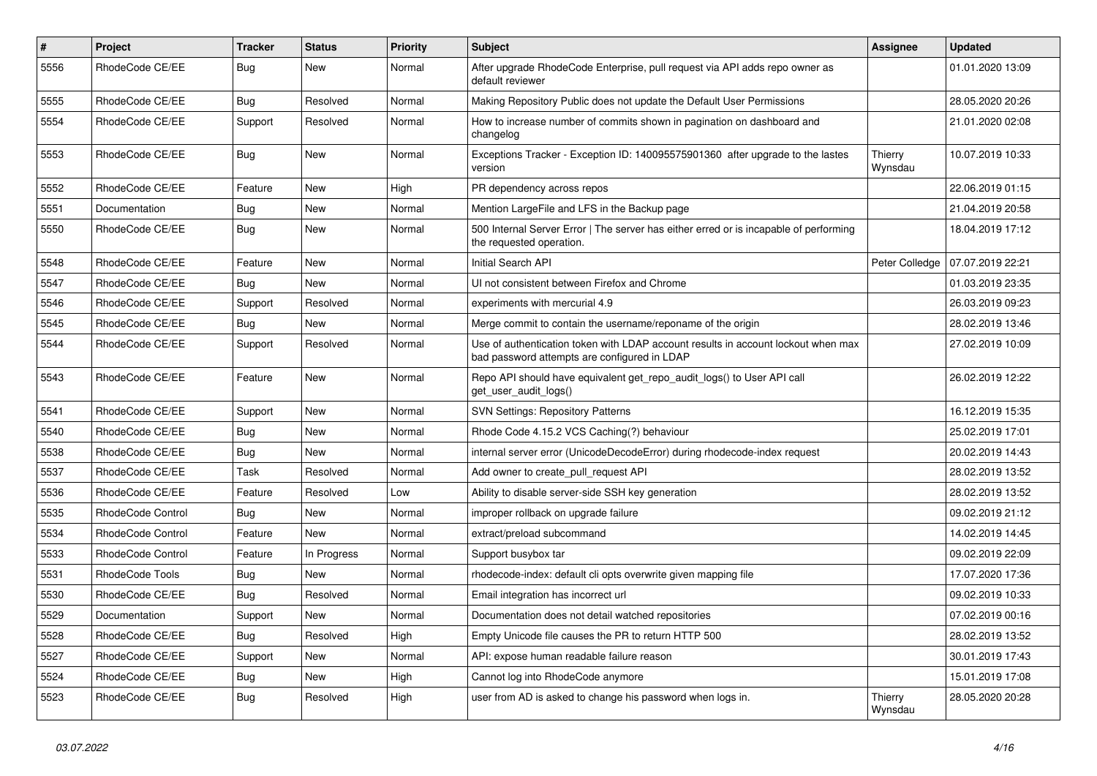| $\pmb{\#}$ | Project                  | <b>Tracker</b> | <b>Status</b> | <b>Priority</b> | Subject                                                                                                                           | <b>Assignee</b>    | <b>Updated</b>   |
|------------|--------------------------|----------------|---------------|-----------------|-----------------------------------------------------------------------------------------------------------------------------------|--------------------|------------------|
| 5556       | RhodeCode CE/EE          | Bug            | New           | Normal          | After upgrade RhodeCode Enterprise, pull request via API adds repo owner as<br>default reviewer                                   |                    | 01.01.2020 13:09 |
| 5555       | RhodeCode CE/EE          | Bug            | Resolved      | Normal          | Making Repository Public does not update the Default User Permissions                                                             |                    | 28.05.2020 20:26 |
| 5554       | RhodeCode CE/EE          | Support        | Resolved      | Normal          | How to increase number of commits shown in pagination on dashboard and<br>changelog                                               |                    | 21.01.2020 02:08 |
| 5553       | RhodeCode CE/EE          | Bug            | <b>New</b>    | Normal          | Exceptions Tracker - Exception ID: 140095575901360 after upgrade to the lastes<br>version                                         | Thierry<br>Wynsdau | 10.07.2019 10:33 |
| 5552       | RhodeCode CE/EE          | Feature        | New           | High            | PR dependency across repos                                                                                                        |                    | 22.06.2019 01:15 |
| 5551       | Documentation            | Bug            | New           | Normal          | Mention LargeFile and LFS in the Backup page                                                                                      |                    | 21.04.2019 20:58 |
| 5550       | RhodeCode CE/EE          | Bug            | New           | Normal          | 500 Internal Server Error   The server has either erred or is incapable of performing<br>the requested operation.                 |                    | 18.04.2019 17:12 |
| 5548       | RhodeCode CE/EE          | Feature        | <b>New</b>    | Normal          | Initial Search API                                                                                                                | Peter Colledge     | 07.07.2019 22:21 |
| 5547       | RhodeCode CE/EE          | Bug            | <b>New</b>    | Normal          | UI not consistent between Firefox and Chrome                                                                                      |                    | 01.03.2019 23:35 |
| 5546       | RhodeCode CE/EE          | Support        | Resolved      | Normal          | experiments with mercurial 4.9                                                                                                    |                    | 26.03.2019 09:23 |
| 5545       | RhodeCode CE/EE          | Bug            | <b>New</b>    | Normal          | Merge commit to contain the username/reponame of the origin                                                                       |                    | 28.02.2019 13:46 |
| 5544       | RhodeCode CE/EE          | Support        | Resolved      | Normal          | Use of authentication token with LDAP account results in account lockout when max<br>bad password attempts are configured in LDAP |                    | 27.02.2019 10:09 |
| 5543       | RhodeCode CE/EE          | Feature        | <b>New</b>    | Normal          | Repo API should have equivalent get_repo_audit_logs() to User API call<br>get_user_audit_logs()                                   |                    | 26.02.2019 12:22 |
| 5541       | RhodeCode CE/EE          | Support        | <b>New</b>    | Normal          | <b>SVN Settings: Repository Patterns</b>                                                                                          |                    | 16.12.2019 15:35 |
| 5540       | RhodeCode CE/EE          | Bug            | <b>New</b>    | Normal          | Rhode Code 4.15.2 VCS Caching(?) behaviour                                                                                        |                    | 25.02.2019 17:01 |
| 5538       | RhodeCode CE/EE          | Bug            | New           | Normal          | internal server error (UnicodeDecodeError) during rhodecode-index request                                                         |                    | 20.02.2019 14:43 |
| 5537       | RhodeCode CE/EE          | Task           | Resolved      | Normal          | Add owner to create pull request API                                                                                              |                    | 28.02.2019 13:52 |
| 5536       | RhodeCode CE/EE          | Feature        | Resolved      | Low             | Ability to disable server-side SSH key generation                                                                                 |                    | 28.02.2019 13:52 |
| 5535       | <b>RhodeCode Control</b> | Bug            | New           | Normal          | improper rollback on upgrade failure                                                                                              |                    | 09.02.2019 21:12 |
| 5534       | RhodeCode Control        | Feature        | <b>New</b>    | Normal          | extract/preload subcommand                                                                                                        |                    | 14.02.2019 14:45 |
| 5533       | RhodeCode Control        | Feature        | In Progress   | Normal          | Support busybox tar                                                                                                               |                    | 09.02.2019 22:09 |
| 5531       | RhodeCode Tools          | <b>Bug</b>     | New           | Normal          | rhodecode-index: default cli opts overwrite given mapping file                                                                    |                    | 17.07.2020 17:36 |
| 5530       | RhodeCode CE/EE          | Bug            | Resolved      | Normal          | Email integration has incorrect url                                                                                               |                    | 09.02.2019 10:33 |
| 5529       | Documentation            | Support        | New           | Normal          | Documentation does not detail watched repositories                                                                                |                    | 07.02.2019 00:16 |
| 5528       | RhodeCode CE/EE          | Bug            | Resolved      | High            | Empty Unicode file causes the PR to return HTTP 500                                                                               |                    | 28.02.2019 13:52 |
| 5527       | RhodeCode CE/EE          | Support        | New           | Normal          | API: expose human readable failure reason                                                                                         |                    | 30.01.2019 17:43 |
| 5524       | RhodeCode CE/EE          | <b>Bug</b>     | New           | High            | Cannot log into RhodeCode anymore                                                                                                 |                    | 15.01.2019 17:08 |
| 5523       | RhodeCode CE/EE          | Bug            | Resolved      | High            | user from AD is asked to change his password when logs in.                                                                        | Thierry<br>Wynsdau | 28.05.2020 20:28 |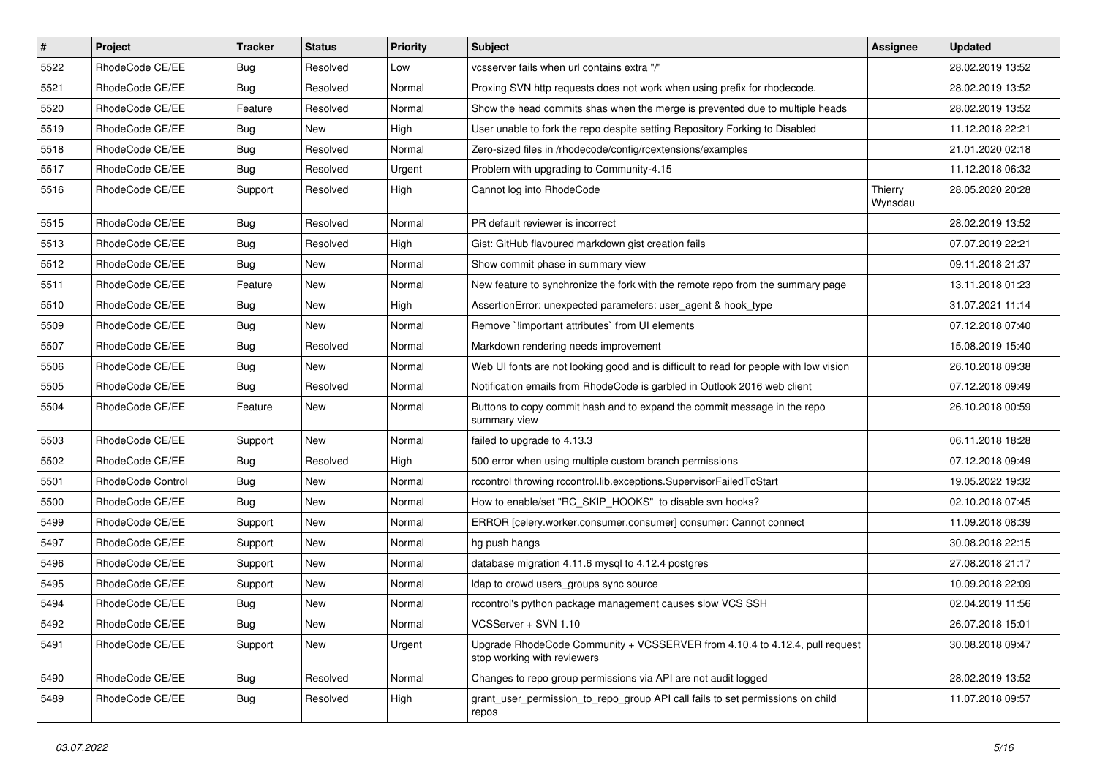| $\vert$ # | Project                  | <b>Tracker</b> | <b>Status</b> | <b>Priority</b> | <b>Subject</b>                                                                                             | Assignee           | <b>Updated</b>   |
|-----------|--------------------------|----------------|---------------|-----------------|------------------------------------------------------------------------------------------------------------|--------------------|------------------|
| 5522      | RhodeCode CE/EE          | <b>Bug</b>     | Resolved      | Low             | vcsserver fails when url contains extra "/"                                                                |                    | 28.02.2019 13:52 |
| 5521      | RhodeCode CE/EE          | Bug            | Resolved      | Normal          | Proxing SVN http requests does not work when using prefix for rhodecode.                                   |                    | 28.02.2019 13:52 |
| 5520      | RhodeCode CE/EE          | Feature        | Resolved      | Normal          | Show the head commits shas when the merge is prevented due to multiple heads                               |                    | 28.02.2019 13:52 |
| 5519      | RhodeCode CE/EE          | <b>Bug</b>     | New           | High            | User unable to fork the repo despite setting Repository Forking to Disabled                                |                    | 11.12.2018 22:21 |
| 5518      | RhodeCode CE/EE          | <b>Bug</b>     | Resolved      | Normal          | Zero-sized files in /rhodecode/config/rcextensions/examples                                                |                    | 21.01.2020 02:18 |
| 5517      | RhodeCode CE/EE          | <b>Bug</b>     | Resolved      | Urgent          | Problem with upgrading to Community-4.15                                                                   |                    | 11.12.2018 06:32 |
| 5516      | RhodeCode CE/EE          | Support        | Resolved      | High            | Cannot log into RhodeCode                                                                                  | Thierry<br>Wynsdau | 28.05.2020 20:28 |
| 5515      | RhodeCode CE/EE          | Bug            | Resolved      | Normal          | PR default reviewer is incorrect                                                                           |                    | 28.02.2019 13:52 |
| 5513      | RhodeCode CE/EE          | <b>Bug</b>     | Resolved      | High            | Gist: GitHub flavoured markdown gist creation fails                                                        |                    | 07.07.2019 22:21 |
| 5512      | RhodeCode CE/EE          | <b>Bug</b>     | New           | Normal          | Show commit phase in summary view                                                                          |                    | 09.11.2018 21:37 |
| 5511      | RhodeCode CE/EE          | Feature        | New           | Normal          | New feature to synchronize the fork with the remote repo from the summary page                             |                    | 13.11.2018 01:23 |
| 5510      | RhodeCode CE/EE          | <b>Bug</b>     | <b>New</b>    | High            | AssertionError: unexpected parameters: user_agent & hook_type                                              |                    | 31.07.2021 11:14 |
| 5509      | RhodeCode CE/EE          | <b>Bug</b>     | New           | Normal          | Remove `limportant attributes` from UI elements                                                            |                    | 07.12.2018 07:40 |
| 5507      | RhodeCode CE/EE          | <b>Bug</b>     | Resolved      | Normal          | Markdown rendering needs improvement                                                                       |                    | 15.08.2019 15:40 |
| 5506      | RhodeCode CE/EE          | <b>Bug</b>     | New           | Normal          | Web UI fonts are not looking good and is difficult to read for people with low vision                      |                    | 26.10.2018 09:38 |
| 5505      | RhodeCode CE/EE          | <b>Bug</b>     | Resolved      | Normal          | Notification emails from RhodeCode is garbled in Outlook 2016 web client                                   |                    | 07.12.2018 09:49 |
| 5504      | RhodeCode CE/EE          | Feature        | <b>New</b>    | Normal          | Buttons to copy commit hash and to expand the commit message in the repo<br>summary view                   |                    | 26.10.2018 00:59 |
| 5503      | RhodeCode CE/EE          | Support        | New           | Normal          | failed to upgrade to 4.13.3                                                                                |                    | 06.11.2018 18:28 |
| 5502      | RhodeCode CE/EE          | <b>Bug</b>     | Resolved      | High            | 500 error when using multiple custom branch permissions                                                    |                    | 07.12.2018 09:49 |
| 5501      | <b>RhodeCode Control</b> | <b>Bug</b>     | New           | Normal          | rccontrol throwing rccontrol.lib.exceptions.SupervisorFailedToStart                                        |                    | 19.05.2022 19:32 |
| 5500      | RhodeCode CE/EE          | <b>Bug</b>     | New           | Normal          | How to enable/set "RC_SKIP_HOOKS" to disable svn hooks?                                                    |                    | 02.10.2018 07:45 |
| 5499      | RhodeCode CE/EE          | Support        | New           | Normal          | ERROR [celery.worker.consumer.consumer] consumer: Cannot connect                                           |                    | 11.09.2018 08:39 |
| 5497      | RhodeCode CE/EE          | Support        | New           | Normal          | hg push hangs                                                                                              |                    | 30.08.2018 22:15 |
| 5496      | RhodeCode CE/EE          | Support        | <b>New</b>    | Normal          | database migration 4.11.6 mysql to 4.12.4 postgres                                                         |                    | 27.08.2018 21:17 |
| 5495      | RhodeCode CE/EE          | Support        | New           | Normal          | Idap to crowd users_groups sync source                                                                     |                    | 10.09.2018 22:09 |
| 5494      | RhodeCode CE/EE          | Bug            | New           | Normal          | rccontrol's python package management causes slow VCS SSH                                                  |                    | 02.04.2019 11:56 |
| 5492      | RhodeCode CE/EE          | <b>Bug</b>     | New           | Normal          | VCSServer + SVN 1.10                                                                                       |                    | 26.07.2018 15:01 |
| 5491      | RhodeCode CE/EE          | Support        | New           | Urgent          | Upgrade RhodeCode Community + VCSSERVER from 4.10.4 to 4.12.4, pull request<br>stop working with reviewers |                    | 30.08.2018 09:47 |
| 5490      | RhodeCode CE/EE          | Bug            | Resolved      | Normal          | Changes to repo group permissions via API are not audit logged                                             |                    | 28.02.2019 13:52 |
| 5489      | RhodeCode CE/EE          | <b>Bug</b>     | Resolved      | High            | grant_user_permission_to_repo_group API call fails to set permissions on child<br>repos                    |                    | 11.07.2018 09:57 |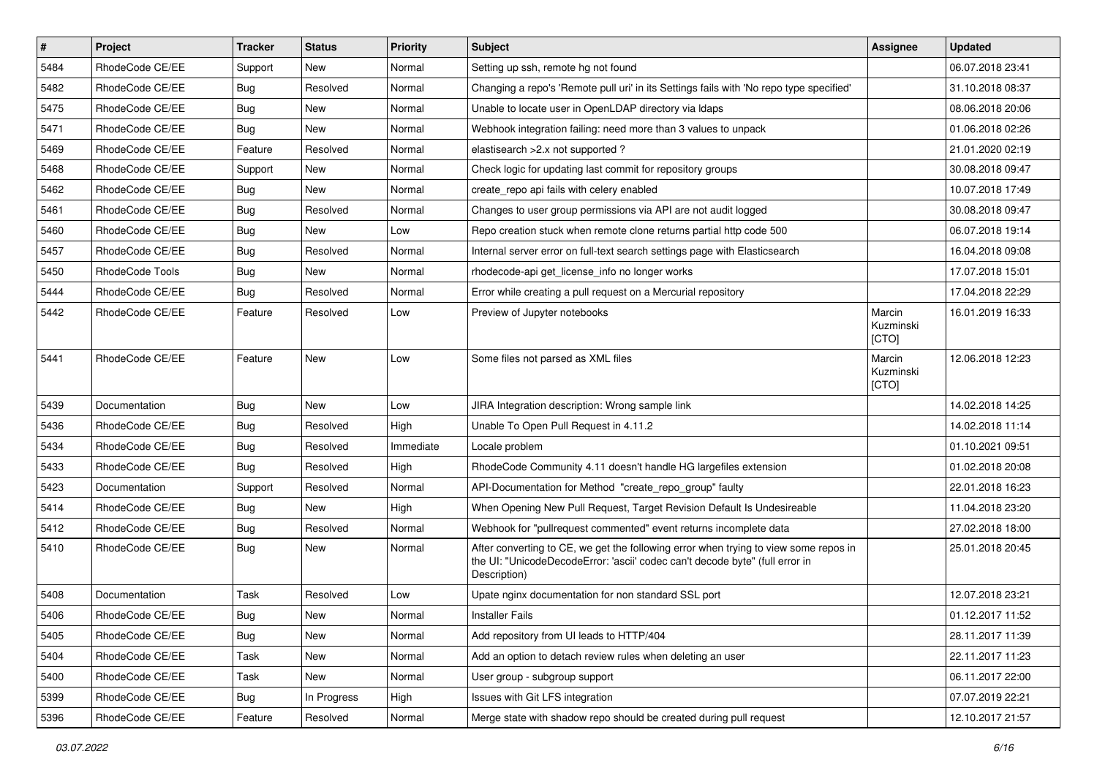| $\sharp$ | Project         | <b>Tracker</b> | <b>Status</b> | Priority  | Subject                                                                                                                                                                              | <b>Assignee</b>              | <b>Updated</b>   |
|----------|-----------------|----------------|---------------|-----------|--------------------------------------------------------------------------------------------------------------------------------------------------------------------------------------|------------------------------|------------------|
| 5484     | RhodeCode CE/EE | Support        | New           | Normal    | Setting up ssh, remote hg not found                                                                                                                                                  |                              | 06.07.2018 23:41 |
| 5482     | RhodeCode CE/EE | Bug            | Resolved      | Normal    | Changing a repo's 'Remote pull uri' in its Settings fails with 'No repo type specified'                                                                                              |                              | 31.10.2018 08:37 |
| 5475     | RhodeCode CE/EE | Bug            | New           | Normal    | Unable to locate user in OpenLDAP directory via Idaps                                                                                                                                |                              | 08.06.2018 20:06 |
| 5471     | RhodeCode CE/EE | <b>Bug</b>     | New           | Normal    | Webhook integration failing: need more than 3 values to unpack                                                                                                                       |                              | 01.06.2018 02:26 |
| 5469     | RhodeCode CE/EE | Feature        | Resolved      | Normal    | elastisearch > 2.x not supported ?                                                                                                                                                   |                              | 21.01.2020 02:19 |
| 5468     | RhodeCode CE/EE | Support        | New           | Normal    | Check logic for updating last commit for repository groups                                                                                                                           |                              | 30.08.2018 09:47 |
| 5462     | RhodeCode CE/EE | Bug            | New           | Normal    | create repo api fails with celery enabled                                                                                                                                            |                              | 10.07.2018 17:49 |
| 5461     | RhodeCode CE/EE | <b>Bug</b>     | Resolved      | Normal    | Changes to user group permissions via API are not audit logged                                                                                                                       |                              | 30.08.2018 09:47 |
| 5460     | RhodeCode CE/EE | <b>Bug</b>     | New           | Low       | Repo creation stuck when remote clone returns partial http code 500                                                                                                                  |                              | 06.07.2018 19:14 |
| 5457     | RhodeCode CE/EE | Bug            | Resolved      | Normal    | Internal server error on full-text search settings page with Elasticsearch                                                                                                           |                              | 16.04.2018 09:08 |
| 5450     | RhodeCode Tools | <b>Bug</b>     | <b>New</b>    | Normal    | rhodecode-api get license info no longer works                                                                                                                                       |                              | 17.07.2018 15:01 |
| 5444     | RhodeCode CE/EE | Bug            | Resolved      | Normal    | Error while creating a pull request on a Mercurial repository                                                                                                                        |                              | 17.04.2018 22:29 |
| 5442     | RhodeCode CE/EE | Feature        | Resolved      | Low       | Preview of Jupyter notebooks                                                                                                                                                         | Marcin<br>Kuzminski<br>[CTO] | 16.01.2019 16:33 |
| 5441     | RhodeCode CE/EE | Feature        | <b>New</b>    | Low       | Some files not parsed as XML files                                                                                                                                                   | Marcin<br>Kuzminski<br>[CTO] | 12.06.2018 12:23 |
| 5439     | Documentation   | Bug            | New           | Low       | JIRA Integration description: Wrong sample link                                                                                                                                      |                              | 14.02.2018 14:25 |
| 5436     | RhodeCode CE/EE | Bug            | Resolved      | High      | Unable To Open Pull Request in 4.11.2                                                                                                                                                |                              | 14.02.2018 11:14 |
| 5434     | RhodeCode CE/EE | Bug            | Resolved      | Immediate | Locale problem                                                                                                                                                                       |                              | 01.10.2021 09:51 |
| 5433     | RhodeCode CE/EE | Bug            | Resolved      | High      | RhodeCode Community 4.11 doesn't handle HG largefiles extension                                                                                                                      |                              | 01.02.2018 20:08 |
| 5423     | Documentation   | Support        | Resolved      | Normal    | API-Documentation for Method "create_repo_group" faulty                                                                                                                              |                              | 22.01.2018 16:23 |
| 5414     | RhodeCode CE/EE | Bug            | New           | High      | When Opening New Pull Request, Target Revision Default Is Undesireable                                                                                                               |                              | 11.04.2018 23:20 |
| 5412     | RhodeCode CE/EE | Bug            | Resolved      | Normal    | Webhook for "pullrequest commented" event returns incomplete data                                                                                                                    |                              | 27.02.2018 18:00 |
| 5410     | RhodeCode CE/EE | Bug            | New           | Normal    | After converting to CE, we get the following error when trying to view some repos in<br>the UI: "UnicodeDecodeError: 'ascii' codec can't decode byte" (full error in<br>Description) |                              | 25.01.2018 20:45 |
| 5408     | Documentation   | Task           | Resolved      | Low       | Upate nginx documentation for non standard SSL port                                                                                                                                  |                              | 12.07.2018 23:21 |
| 5406     | RhodeCode CE/EE | Bug            | New           | Normal    | <b>Installer Fails</b>                                                                                                                                                               |                              | 01.12.2017 11:52 |
| 5405     | RhodeCode CE/EE | Bug            | New           | Normal    | Add repository from UI leads to HTTP/404                                                                                                                                             |                              | 28.11.2017 11:39 |
| 5404     | RhodeCode CE/EE | Task           | New           | Normal    | Add an option to detach review rules when deleting an user                                                                                                                           |                              | 22.11.2017 11:23 |
| 5400     | RhodeCode CE/EE | Task           | New           | Normal    | User group - subgroup support                                                                                                                                                        |                              | 06.11.2017 22:00 |
| 5399     | RhodeCode CE/EE | Bug            | In Progress   | High      | Issues with Git LFS integration                                                                                                                                                      |                              | 07.07.2019 22:21 |
| 5396     | RhodeCode CE/EE | Feature        | Resolved      | Normal    | Merge state with shadow repo should be created during pull request                                                                                                                   |                              | 12.10.2017 21:57 |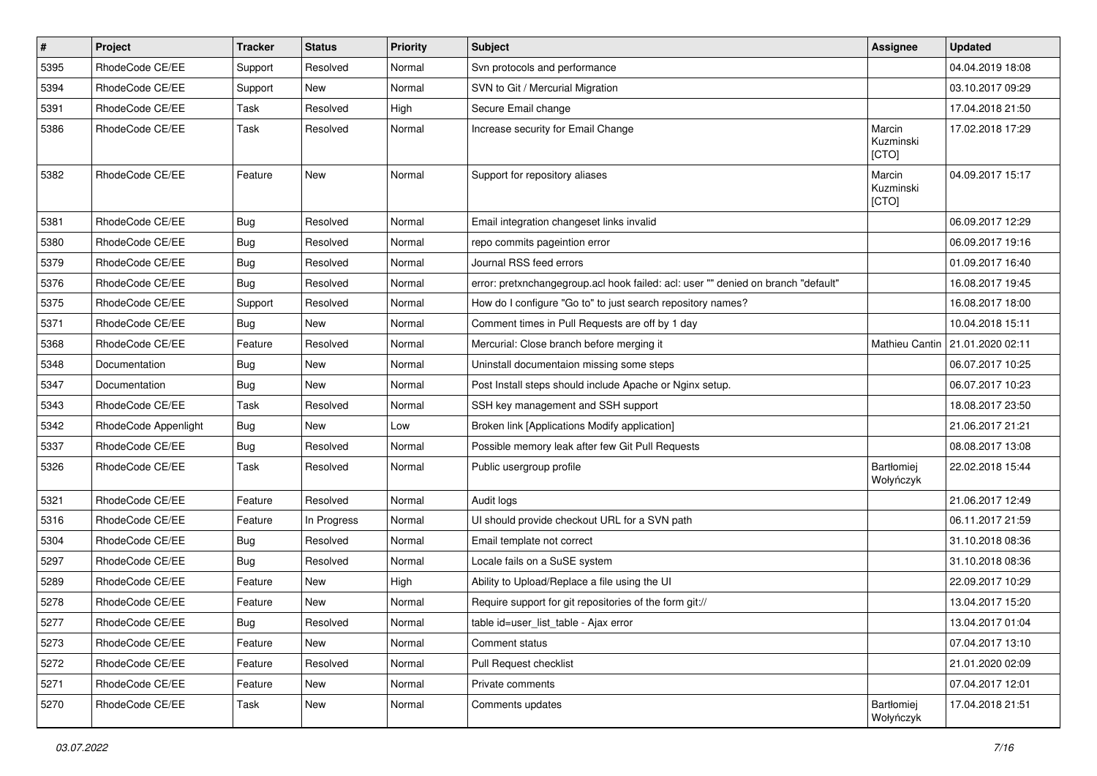| $\sharp$ | Project              | <b>Tracker</b> | <b>Status</b> | <b>Priority</b> | Subject                                                                           | Assignee                     | <b>Updated</b>   |
|----------|----------------------|----------------|---------------|-----------------|-----------------------------------------------------------------------------------|------------------------------|------------------|
| 5395     | RhodeCode CE/EE      | Support        | Resolved      | Normal          | Svn protocols and performance                                                     |                              | 04.04.2019 18:08 |
| 5394     | RhodeCode CE/EE      | Support        | <b>New</b>    | Normal          | SVN to Git / Mercurial Migration                                                  |                              | 03.10.2017 09:29 |
| 5391     | RhodeCode CE/EE      | Task           | Resolved      | High            | Secure Email change                                                               |                              | 17.04.2018 21:50 |
| 5386     | RhodeCode CE/EE      | Task           | Resolved      | Normal          | Increase security for Email Change                                                | Marcin<br>Kuzminski<br>[CTO] | 17.02.2018 17:29 |
| 5382     | RhodeCode CE/EE      | Feature        | New           | Normal          | Support for repository aliases                                                    | Marcin<br>Kuzminski<br>[CTO] | 04.09.2017 15:17 |
| 5381     | RhodeCode CE/EE      | Bug            | Resolved      | Normal          | Email integration changeset links invalid                                         |                              | 06.09.2017 12:29 |
| 5380     | RhodeCode CE/EE      | Bug            | Resolved      | Normal          | repo commits pageintion error                                                     |                              | 06.09.2017 19:16 |
| 5379     | RhodeCode CE/EE      | Bug            | Resolved      | Normal          | Journal RSS feed errors                                                           |                              | 01.09.2017 16:40 |
| 5376     | RhodeCode CE/EE      | Bug            | Resolved      | Normal          | error: pretxnchangegroup.acl hook failed: acl: user "" denied on branch "default" |                              | 16.08.2017 19:45 |
| 5375     | RhodeCode CE/EE      | Support        | Resolved      | Normal          | How do I configure "Go to" to just search repository names?                       |                              | 16.08.2017 18:00 |
| 5371     | RhodeCode CE/EE      | Bug            | <b>New</b>    | Normal          | Comment times in Pull Requests are off by 1 day                                   |                              | 10.04.2018 15:11 |
| 5368     | RhodeCode CE/EE      | Feature        | Resolved      | Normal          | Mercurial: Close branch before merging it                                         | Mathieu Cantin               | 21.01.2020 02:11 |
| 5348     | Documentation        | Bug            | New           | Normal          | Uninstall documentaion missing some steps                                         |                              | 06.07.2017 10:25 |
| 5347     | Documentation        | <b>Bug</b>     | <b>New</b>    | Normal          | Post Install steps should include Apache or Nginx setup.                          |                              | 06.07.2017 10:23 |
| 5343     | RhodeCode CE/EE      | Task           | Resolved      | Normal          | SSH key management and SSH support                                                |                              | 18.08.2017 23:50 |
| 5342     | RhodeCode Appenlight | Bug            | New           | Low             | Broken link [Applications Modify application]                                     |                              | 21.06.2017 21:21 |
| 5337     | RhodeCode CE/EE      | Bug            | Resolved      | Normal          | Possible memory leak after few Git Pull Requests                                  |                              | 08.08.2017 13:08 |
| 5326     | RhodeCode CE/EE      | Task           | Resolved      | Normal          | Public usergroup profile                                                          | Bartłomiej<br>Wołyńczyk      | 22.02.2018 15:44 |
| 5321     | RhodeCode CE/EE      | Feature        | Resolved      | Normal          | Audit logs                                                                        |                              | 21.06.2017 12:49 |
| 5316     | RhodeCode CE/EE      | Feature        | In Progress   | Normal          | UI should provide checkout URL for a SVN path                                     |                              | 06.11.2017 21:59 |
| 5304     | RhodeCode CE/EE      | Bug            | Resolved      | Normal          | Email template not correct                                                        |                              | 31.10.2018 08:36 |
| 5297     | RhodeCode CE/EE      | Bug            | Resolved      | Normal          | Locale fails on a SuSE system                                                     |                              | 31.10.2018 08:36 |
| 5289     | RhodeCode CE/EE      | Feature        | New           | High            | Ability to Upload/Replace a file using the UI                                     |                              | 22.09.2017 10:29 |
| 5278     | RhodeCode CE/EE      | Feature        | New           | Normal          | Require support for git repositories of the form git://                           |                              | 13.04.2017 15:20 |
| 5277     | RhodeCode CE/EE      | Bug            | Resolved      | Normal          | table id=user_list_table - Ajax error                                             |                              | 13.04.2017 01:04 |
| 5273     | RhodeCode CE/EE      | Feature        | New           | Normal          | Comment status                                                                    |                              | 07.04.2017 13:10 |
| 5272     | RhodeCode CE/EE      | Feature        | Resolved      | Normal          | Pull Request checklist                                                            |                              | 21.01.2020 02:09 |
| 5271     | RhodeCode CE/EE      | Feature        | New           | Normal          | Private comments                                                                  |                              | 07.04.2017 12:01 |
| 5270     | RhodeCode CE/EE      | Task           | New           | Normal          | Comments updates                                                                  | Bartłomiej<br>Wołyńczyk      | 17.04.2018 21:51 |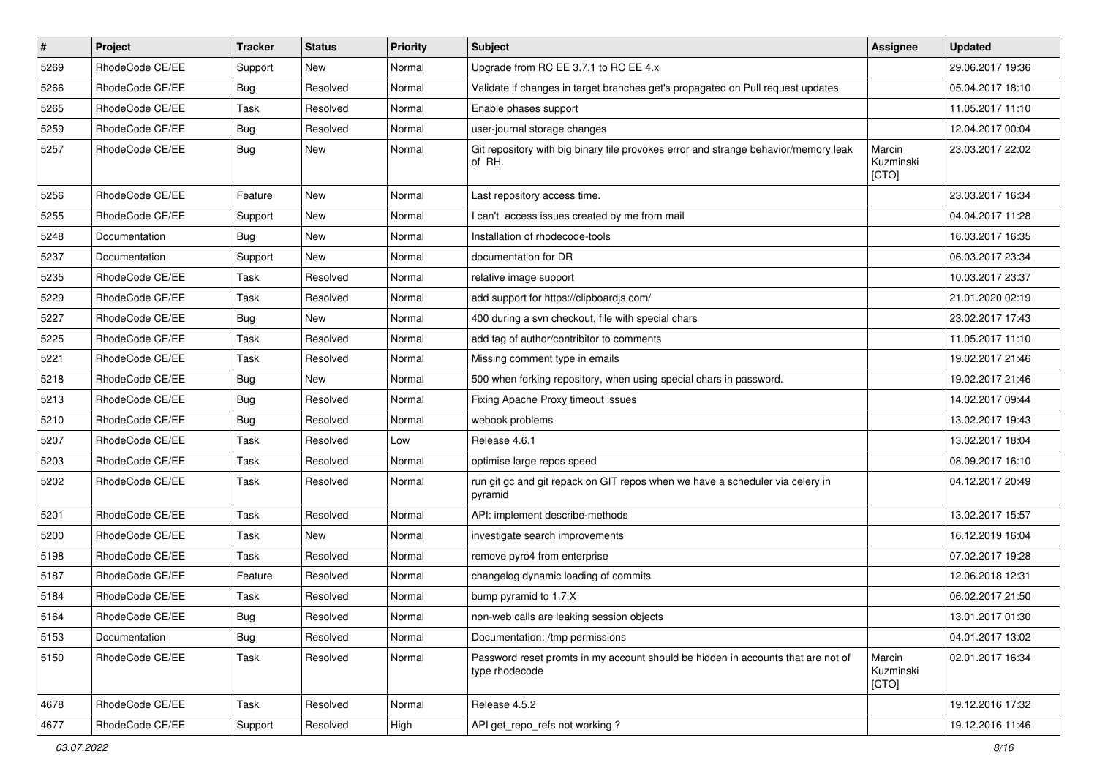| $\pmb{\#}$ | Project         | <b>Tracker</b> | <b>Status</b> | <b>Priority</b> | Subject                                                                                            | Assignee                     | <b>Updated</b>   |
|------------|-----------------|----------------|---------------|-----------------|----------------------------------------------------------------------------------------------------|------------------------------|------------------|
| 5269       | RhodeCode CE/EE | Support        | New           | Normal          | Upgrade from RC EE 3.7.1 to RC EE 4.x                                                              |                              | 29.06.2017 19:36 |
| 5266       | RhodeCode CE/EE | Bug            | Resolved      | Normal          | Validate if changes in target branches get's propagated on Pull request updates                    |                              | 05.04.2017 18:10 |
| 5265       | RhodeCode CE/EE | Task           | Resolved      | Normal          | Enable phases support                                                                              |                              | 11.05.2017 11:10 |
| 5259       | RhodeCode CE/EE | <b>Bug</b>     | Resolved      | Normal          | user-journal storage changes                                                                       |                              | 12.04.2017 00:04 |
| 5257       | RhodeCode CE/EE | <b>Bug</b>     | <b>New</b>    | Normal          | Git repository with big binary file provokes error and strange behavior/memory leak<br>of RH.      | Marcin<br>Kuzminski<br>[CTO] | 23.03.2017 22:02 |
| 5256       | RhodeCode CE/EE | Feature        | <b>New</b>    | Normal          | Last repository access time.                                                                       |                              | 23.03.2017 16:34 |
| 5255       | RhodeCode CE/EE | Support        | New           | Normal          | can't access issues created by me from mail                                                        |                              | 04.04.2017 11:28 |
| 5248       | Documentation   | Bug            | <b>New</b>    | Normal          | Installation of rhodecode-tools                                                                    |                              | 16.03.2017 16:35 |
| 5237       | Documentation   | Support        | New           | Normal          | documentation for DR                                                                               |                              | 06.03.2017 23:34 |
| 5235       | RhodeCode CE/EE | Task           | Resolved      | Normal          | relative image support                                                                             |                              | 10.03.2017 23:37 |
| 5229       | RhodeCode CE/EE | Task           | Resolved      | Normal          | add support for https://clipboardjs.com/                                                           |                              | 21.01.2020 02:19 |
| 5227       | RhodeCode CE/EE | Bug            | New           | Normal          | 400 during a svn checkout, file with special chars                                                 |                              | 23.02.2017 17:43 |
| 5225       | RhodeCode CE/EE | Task           | Resolved      | Normal          | add tag of author/contribitor to comments                                                          |                              | 11.05.2017 11:10 |
| 5221       | RhodeCode CE/EE | Task           | Resolved      | Normal          | Missing comment type in emails                                                                     |                              | 19.02.2017 21:46 |
| 5218       | RhodeCode CE/EE | Bug            | New           | Normal          | 500 when forking repository, when using special chars in password.                                 |                              | 19.02.2017 21:46 |
| 5213       | RhodeCode CE/EE | Bug            | Resolved      | Normal          | Fixing Apache Proxy timeout issues                                                                 |                              | 14.02.2017 09:44 |
| 5210       | RhodeCode CE/EE | <b>Bug</b>     | Resolved      | Normal          | webook problems                                                                                    |                              | 13.02.2017 19:43 |
| 5207       | RhodeCode CE/EE | Task           | Resolved      | Low             | Release 4.6.1                                                                                      |                              | 13.02.2017 18:04 |
| 5203       | RhodeCode CE/EE | Task           | Resolved      | Normal          | optimise large repos speed                                                                         |                              | 08.09.2017 16:10 |
| 5202       | RhodeCode CE/EE | Task           | Resolved      | Normal          | run git gc and git repack on GIT repos when we have a scheduler via celery in<br>pyramid           |                              | 04.12.2017 20:49 |
| 5201       | RhodeCode CE/EE | Task           | Resolved      | Normal          | API: implement describe-methods                                                                    |                              | 13.02.2017 15:57 |
| 5200       | RhodeCode CE/EE | Task           | New           | Normal          | investigate search improvements                                                                    |                              | 16.12.2019 16:04 |
| 5198       | RhodeCode CE/EE | Task           | Resolved      | Normal          | remove pyro4 from enterprise                                                                       |                              | 07.02.2017 19:28 |
| 5187       | RhodeCode CE/EE | Feature        | Resolved      | Normal          | changelog dynamic loading of commits                                                               |                              | 12.06.2018 12:31 |
| 5184       | RhodeCode CE/EE | Task           | Resolved      | Normal          | bump pyramid to 1.7.X                                                                              |                              | 06.02.2017 21:50 |
| 5164       | RhodeCode CE/EE | Bug            | Resolved      | Normal          | non-web calls are leaking session objects                                                          |                              | 13.01.2017 01:30 |
| 5153       | Documentation   | Bug            | Resolved      | Normal          | Documentation: /tmp permissions                                                                    |                              | 04.01.2017 13:02 |
| 5150       | RhodeCode CE/EE | Task           | Resolved      | Normal          | Password reset promts in my account should be hidden in accounts that are not of<br>type rhodecode | Marcin<br>Kuzminski<br>[CTO] | 02.01.2017 16:34 |
| 4678       | RhodeCode CE/EE | Task           | Resolved      | Normal          | Release 4.5.2                                                                                      |                              | 19.12.2016 17:32 |
| 4677       | RhodeCode CE/EE | Support        | Resolved      | High            | API get repo refs not working?                                                                     |                              | 19.12.2016 11:46 |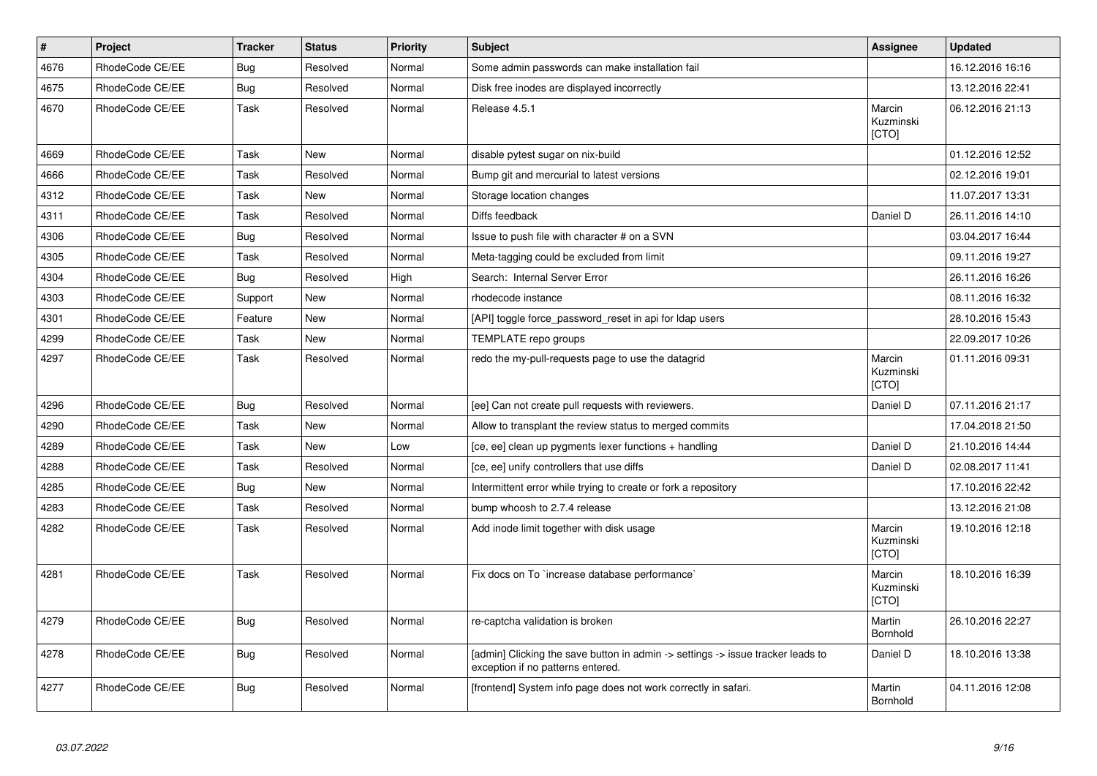| $\vert$ # | Project         | <b>Tracker</b> | <b>Status</b> | Priority | <b>Subject</b>                                                                                                       | <b>Assignee</b>                     | <b>Updated</b>   |
|-----------|-----------------|----------------|---------------|----------|----------------------------------------------------------------------------------------------------------------------|-------------------------------------|------------------|
| 4676      | RhodeCode CE/EE | Bug            | Resolved      | Normal   | Some admin passwords can make installation fail                                                                      |                                     | 16.12.2016 16:16 |
| 4675      | RhodeCode CE/EE | <b>Bug</b>     | Resolved      | Normal   | Disk free inodes are displayed incorrectly                                                                           |                                     | 13.12.2016 22:41 |
| 4670      | RhodeCode CE/EE | Task           | Resolved      | Normal   | Release 4.5.1                                                                                                        | Marcin<br>Kuzminski<br>[CTO]        | 06.12.2016 21:13 |
| 4669      | RhodeCode CE/EE | Task           | <b>New</b>    | Normal   | disable pytest sugar on nix-build                                                                                    |                                     | 01.12.2016 12:52 |
| 4666      | RhodeCode CE/EE | Task           | Resolved      | Normal   | Bump git and mercurial to latest versions                                                                            |                                     | 02.12.2016 19:01 |
| 4312      | RhodeCode CE/EE | <b>Task</b>    | <b>New</b>    | Normal   | Storage location changes                                                                                             |                                     | 11.07.2017 13:31 |
| 4311      | RhodeCode CE/EE | Task           | Resolved      | Normal   | Diffs feedback                                                                                                       | Daniel D                            | 26.11.2016 14:10 |
| 4306      | RhodeCode CE/EE | <b>Bug</b>     | Resolved      | Normal   | Issue to push file with character # on a SVN                                                                         |                                     | 03.04.2017 16:44 |
| 4305      | RhodeCode CE/EE | <b>Task</b>    | Resolved      | Normal   | Meta-tagging could be excluded from limit                                                                            |                                     | 09.11.2016 19:27 |
| 4304      | RhodeCode CE/EE | <b>Bug</b>     | Resolved      | High     | Search: Internal Server Error                                                                                        |                                     | 26.11.2016 16:26 |
| 4303      | RhodeCode CE/EE | Support        | <b>New</b>    | Normal   | rhodecode instance                                                                                                   |                                     | 08.11.2016 16:32 |
| 4301      | RhodeCode CE/EE | Feature        | <b>New</b>    | Normal   | [API] toggle force password reset in api for Idap users                                                              |                                     | 28.10.2016 15:43 |
| 4299      | RhodeCode CE/EE | Task           | <b>New</b>    | Normal   | TEMPLATE repo groups                                                                                                 |                                     | 22.09.2017 10:26 |
| 4297      | RhodeCode CE/EE | Task           | Resolved      | Normal   | redo the my-pull-requests page to use the datagrid                                                                   | Marcin<br>Kuzminski<br>[CTO]        | 01.11.2016 09:31 |
| 4296      | RhodeCode CE/EE | <b>Bug</b>     | Resolved      | Normal   | [ee] Can not create pull requests with reviewers.                                                                    | Daniel D                            | 07.11.2016 21:17 |
| 4290      | RhodeCode CE/EE | Task           | <b>New</b>    | Normal   | Allow to transplant the review status to merged commits                                                              |                                     | 17.04.2018 21:50 |
| 4289      | RhodeCode CE/EE | Task           | <b>New</b>    | Low      | [ce, ee] clean up pygments lexer functions + handling                                                                | Daniel D                            | 21.10.2016 14:44 |
| 4288      | RhodeCode CE/EE | Task           | Resolved      | Normal   | [ce, ee] unify controllers that use diffs                                                                            | Daniel D                            | 02.08.2017 11:41 |
| 4285      | RhodeCode CE/EE | <b>Bug</b>     | New           | Normal   | Intermittent error while trying to create or fork a repository                                                       |                                     | 17.10.2016 22:42 |
| 4283      | RhodeCode CE/EE | Task           | Resolved      | Normal   | bump whoosh to 2.7.4 release                                                                                         |                                     | 13.12.2016 21:08 |
| 4282      | RhodeCode CE/EE | <b>Task</b>    | Resolved      | Normal   | Add inode limit together with disk usage                                                                             | Marcin<br>Kuzminski<br><b>ICTOI</b> | 19.10.2016 12:18 |
| 4281      | RhodeCode CE/EE | Task           | Resolved      | Normal   | Fix docs on To `increase database performance`                                                                       | Marcin<br>Kuzminski<br>[CTO]        | 18.10.2016 16:39 |
| 4279      | RhodeCode CE/EE | <b>Bug</b>     | Resolved      | Normal   | re-captcha validation is broken                                                                                      | Martin<br><b>Bornhold</b>           | 26.10.2016 22:27 |
| 4278      | RhodeCode CE/EE | <b>Bug</b>     | Resolved      | Normal   | [admin] Clicking the save button in admin -> settings -> issue tracker leads to<br>exception if no patterns entered. | Daniel D                            | 18.10.2016 13:38 |
| 4277      | RhodeCode CE/EE | <b>Bug</b>     | Resolved      | Normal   | [frontend] System info page does not work correctly in safari.                                                       | Martin<br>Bornhold                  | 04.11.2016 12:08 |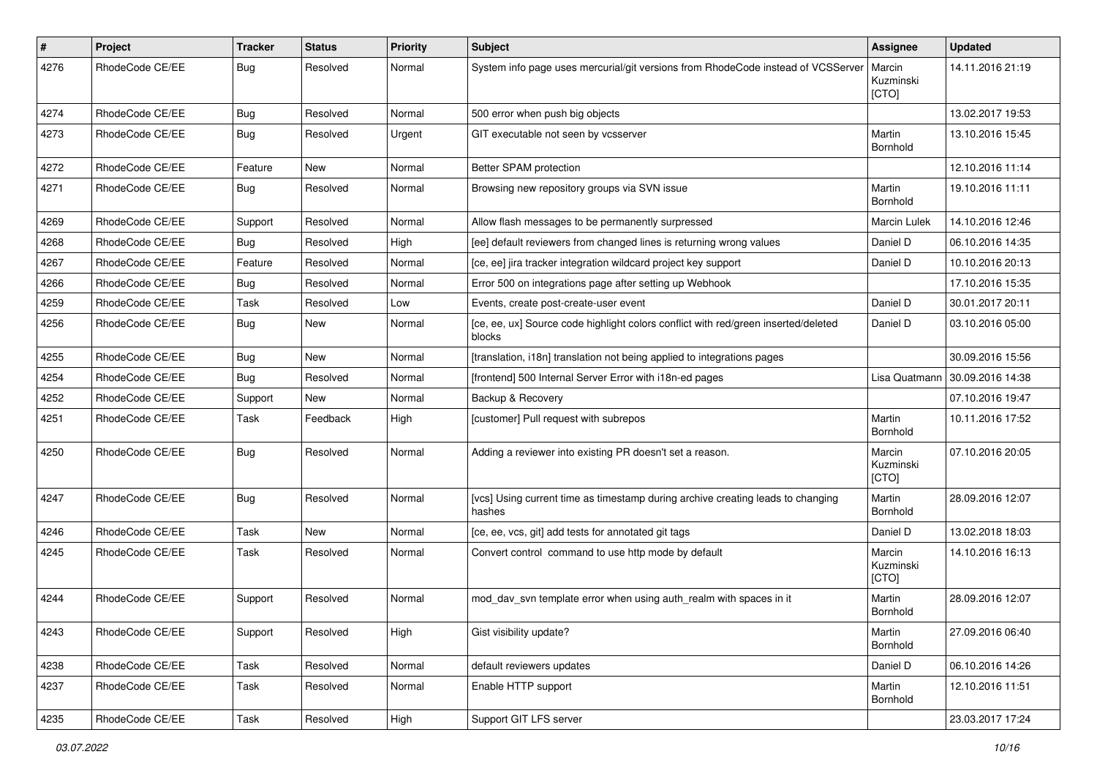| $\pmb{\#}$ | Project         | <b>Tracker</b> | <b>Status</b> | <b>Priority</b> | Subject                                                                                      | <b>Assignee</b>              | <b>Updated</b>   |
|------------|-----------------|----------------|---------------|-----------------|----------------------------------------------------------------------------------------------|------------------------------|------------------|
| 4276       | RhodeCode CE/EE | <b>Bug</b>     | Resolved      | Normal          | System info page uses mercurial/git versions from RhodeCode instead of VCSServer             | Marcin<br>Kuzminski<br>[CTO] | 14.11.2016 21:19 |
| 4274       | RhodeCode CE/EE | Bug            | Resolved      | Normal          | 500 error when push big objects                                                              |                              | 13.02.2017 19:53 |
| 4273       | RhodeCode CE/EE | <b>Bug</b>     | Resolved      | Urgent          | GIT executable not seen by vcsserver                                                         | Martin<br>Bornhold           | 13.10.2016 15:45 |
| 4272       | RhodeCode CE/EE | Feature        | New           | Normal          | Better SPAM protection                                                                       |                              | 12.10.2016 11:14 |
| 4271       | RhodeCode CE/EE | <b>Bug</b>     | Resolved      | Normal          | Browsing new repository groups via SVN issue                                                 | Martin<br>Bornhold           | 19.10.2016 11:11 |
| 4269       | RhodeCode CE/EE | Support        | Resolved      | Normal          | Allow flash messages to be permanently surpressed                                            | Marcin Lulek                 | 14.10.2016 12:46 |
| 4268       | RhodeCode CE/EE | <b>Bug</b>     | Resolved      | High            | [ee] default reviewers from changed lines is returning wrong values                          | Daniel D                     | 06.10.2016 14:35 |
| 4267       | RhodeCode CE/EE | Feature        | Resolved      | Normal          | [ce, ee] jira tracker integration wildcard project key support                               | Daniel D                     | 10.10.2016 20:13 |
| 4266       | RhodeCode CE/EE | Bug            | Resolved      | Normal          | Error 500 on integrations page after setting up Webhook                                      |                              | 17.10.2016 15:35 |
| 4259       | RhodeCode CE/EE | Task           | Resolved      | Low             | Events, create post-create-user event                                                        | Daniel D                     | 30.01.2017 20:11 |
| 4256       | RhodeCode CE/EE | Bug            | New           | Normal          | [ce, ee, ux] Source code highlight colors conflict with red/green inserted/deleted<br>blocks | Daniel D                     | 03.10.2016 05:00 |
| 4255       | RhodeCode CE/EE | Bug            | <b>New</b>    | Normal          | [translation, i18n] translation not being applied to integrations pages                      |                              | 30.09.2016 15:56 |
| 4254       | RhodeCode CE/EE | Bug            | Resolved      | Normal          | [frontend] 500 Internal Server Error with i18n-ed pages                                      | Lisa Quatmann                | 30.09.2016 14:38 |
| 4252       | RhodeCode CE/EE | Support        | <b>New</b>    | Normal          | Backup & Recovery                                                                            |                              | 07.10.2016 19:47 |
| 4251       | RhodeCode CE/EE | Task           | Feedback      | High            | [customer] Pull request with subrepos                                                        | Martin<br>Bornhold           | 10.11.2016 17:52 |
| 4250       | RhodeCode CE/EE | Bug            | Resolved      | Normal          | Adding a reviewer into existing PR doesn't set a reason.                                     | Marcin<br>Kuzminski<br>[CTO] | 07.10.2016 20:05 |
| 4247       | RhodeCode CE/EE | <b>Bug</b>     | Resolved      | Normal          | [vcs] Using current time as timestamp during archive creating leads to changing<br>hashes    | Martin<br>Bornhold           | 28.09.2016 12:07 |
| 4246       | RhodeCode CE/EE | Task           | New           | Normal          | [ce, ee, vcs, git] add tests for annotated git tags                                          | Daniel D                     | 13.02.2018 18:03 |
| 4245       | RhodeCode CE/EE | Task           | Resolved      | Normal          | Convert control command to use http mode by default                                          | Marcin<br>Kuzminski<br>[CTO] | 14.10.2016 16:13 |
| 4244       | RhodeCode CE/EE | Support        | Resolved      | Normal          | mod_dav_svn template error when using auth_realm with spaces in it                           | Martin<br>Bornhold           | 28.09.2016 12:07 |
| 4243       | RhodeCode CE/EE | Support        | Resolved      | High            | Gist visibility update?                                                                      | Martin<br>Bornhold           | 27.09.2016 06:40 |
| 4238       | RhodeCode CE/EE | Task           | Resolved      | Normal          | default reviewers updates                                                                    | Daniel D                     | 06.10.2016 14:26 |
| 4237       | RhodeCode CE/EE | Task           | Resolved      | Normal          | Enable HTTP support                                                                          | Martin<br>Bornhold           | 12.10.2016 11:51 |
| 4235       | RhodeCode CE/EE | Task           | Resolved      | High            | Support GIT LFS server                                                                       |                              | 23.03.2017 17:24 |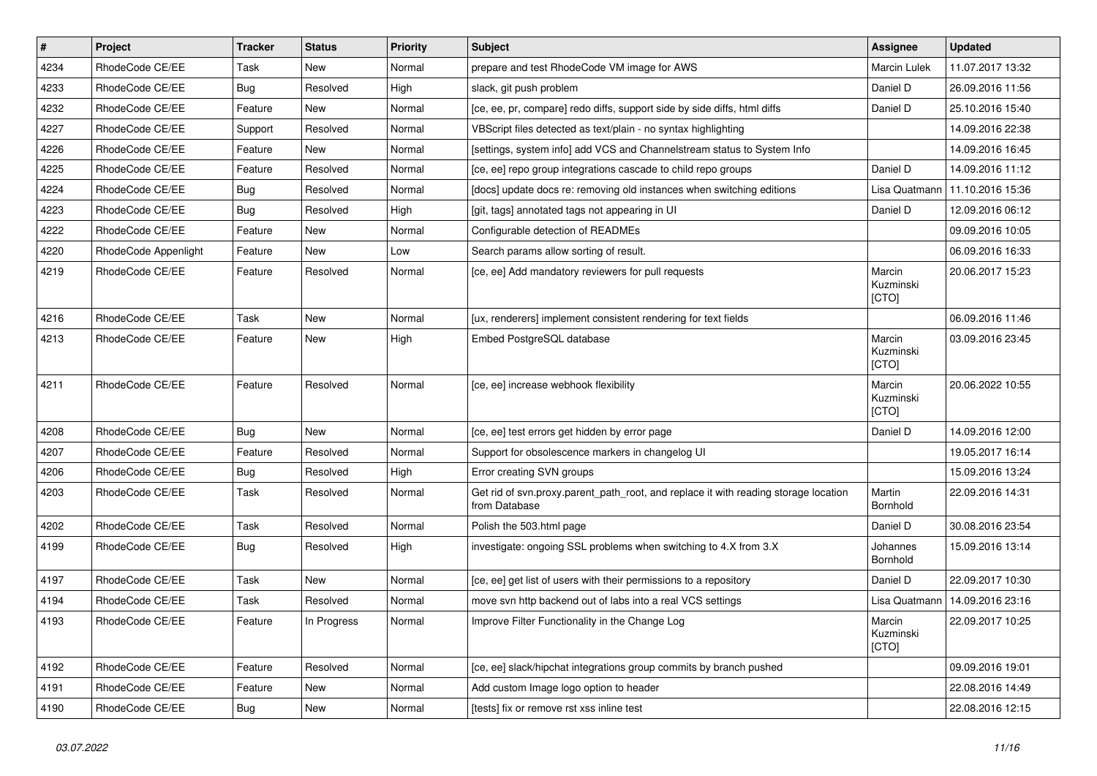| $\pmb{\#}$ | Project              | <b>Tracker</b> | <b>Status</b> | <b>Priority</b> | <b>Subject</b>                                                                                       | <b>Assignee</b>              | <b>Updated</b>   |
|------------|----------------------|----------------|---------------|-----------------|------------------------------------------------------------------------------------------------------|------------------------------|------------------|
| 4234       | RhodeCode CE/EE      | Task           | New           | Normal          | prepare and test RhodeCode VM image for AWS                                                          | Marcin Lulek                 | 11.07.2017 13:32 |
| 4233       | RhodeCode CE/EE      | <b>Bug</b>     | Resolved      | High            | slack, git push problem                                                                              | Daniel D                     | 26.09.2016 11:56 |
| 4232       | RhodeCode CE/EE      | Feature        | New           | Normal          | [ce, ee, pr, compare] redo diffs, support side by side diffs, html diffs                             | Daniel D                     | 25.10.2016 15:40 |
| 4227       | RhodeCode CE/EE      | Support        | Resolved      | Normal          | VBScript files detected as text/plain - no syntax highlighting                                       |                              | 14.09.2016 22:38 |
| 4226       | RhodeCode CE/EE      | Feature        | <b>New</b>    | Normal          | [settings, system info] add VCS and Channelstream status to System Info                              |                              | 14.09.2016 16:45 |
| 4225       | RhodeCode CE/EE      | Feature        | Resolved      | Normal          | [ce, ee] repo group integrations cascade to child repo groups                                        | Daniel D                     | 14.09.2016 11:12 |
| 4224       | RhodeCode CE/EE      | Bug            | Resolved      | Normal          | [docs] update docs re: removing old instances when switching editions                                | Lisa Quatmann                | 11.10.2016 15:36 |
| 4223       | RhodeCode CE/EE      | Bug            | Resolved      | High            | [git, tags] annotated tags not appearing in UI                                                       | Daniel D                     | 12.09.2016 06:12 |
| 4222       | RhodeCode CE/EE      | Feature        | New           | Normal          | Configurable detection of READMEs                                                                    |                              | 09.09.2016 10:05 |
| 4220       | RhodeCode Appenlight | Feature        | <b>New</b>    | Low             | Search params allow sorting of result.                                                               |                              | 06.09.2016 16:33 |
| 4219       | RhodeCode CE/EE      | Feature        | Resolved      | Normal          | [ce, ee] Add mandatory reviewers for pull requests                                                   | Marcin<br>Kuzminski<br>[CTO] | 20.06.2017 15:23 |
| 4216       | RhodeCode CE/EE      | Task           | New           | Normal          | [ux, renderers] implement consistent rendering for text fields                                       |                              | 06.09.2016 11:46 |
| 4213       | RhodeCode CE/EE      | Feature        | New           | High            | Embed PostgreSQL database                                                                            | Marcin<br>Kuzminski<br>[CTO] | 03.09.2016 23:45 |
| 4211       | RhodeCode CE/EE      | Feature        | Resolved      | Normal          | [ce, ee] increase webhook flexibility                                                                | Marcin<br>Kuzminski<br>[CTO] | 20.06.2022 10:55 |
| 4208       | RhodeCode CE/EE      | Bug            | <b>New</b>    | Normal          | [ce, ee] test errors get hidden by error page                                                        | Daniel D                     | 14.09.2016 12:00 |
| 4207       | RhodeCode CE/EE      | Feature        | Resolved      | Normal          | Support for obsolescence markers in changelog UI                                                     |                              | 19.05.2017 16:14 |
| 4206       | RhodeCode CE/EE      | <b>Bug</b>     | Resolved      | High            | Error creating SVN groups                                                                            |                              | 15.09.2016 13:24 |
| 4203       | RhodeCode CE/EE      | Task           | Resolved      | Normal          | Get rid of svn.proxy.parent_path_root, and replace it with reading storage location<br>from Database | Martin<br>Bornhold           | 22.09.2016 14:31 |
| 4202       | RhodeCode CE/EE      | Task           | Resolved      | Normal          | Polish the 503.html page                                                                             | Daniel D                     | 30.08.2016 23:54 |
| 4199       | RhodeCode CE/EE      | Bug            | Resolved      | High            | investigate: ongoing SSL problems when switching to 4.X from 3.X                                     | Johannes<br>Bornhold         | 15.09.2016 13:14 |
| 4197       | RhodeCode CE/EE      | Task           | New           | Normal          | [ce, ee] get list of users with their permissions to a repository                                    | Daniel D                     | 22.09.2017 10:30 |
| 4194       | RhodeCode CE/EE      | Task           | Resolved      | Normal          | move svn http backend out of labs into a real VCS settings                                           | Lisa Quatmann                | 14.09.2016 23:16 |
| 4193       | RhodeCode CE/EE      | Feature        | In Progress   | Normal          | Improve Filter Functionality in the Change Log                                                       | Marcin<br>Kuzminski<br>[CTO] | 22.09.2017 10:25 |
| 4192       | RhodeCode CE/EE      | Feature        | Resolved      | Normal          | [ce, ee] slack/hipchat integrations group commits by branch pushed                                   |                              | 09.09.2016 19:01 |
| 4191       | RhodeCode CE/EE      | Feature        | New           | Normal          | Add custom Image logo option to header                                                               |                              | 22.08.2016 14:49 |
| 4190       | RhodeCode CE/EE      | <b>Bug</b>     | New           | Normal          | [tests] fix or remove rst xss inline test                                                            |                              | 22.08.2016 12:15 |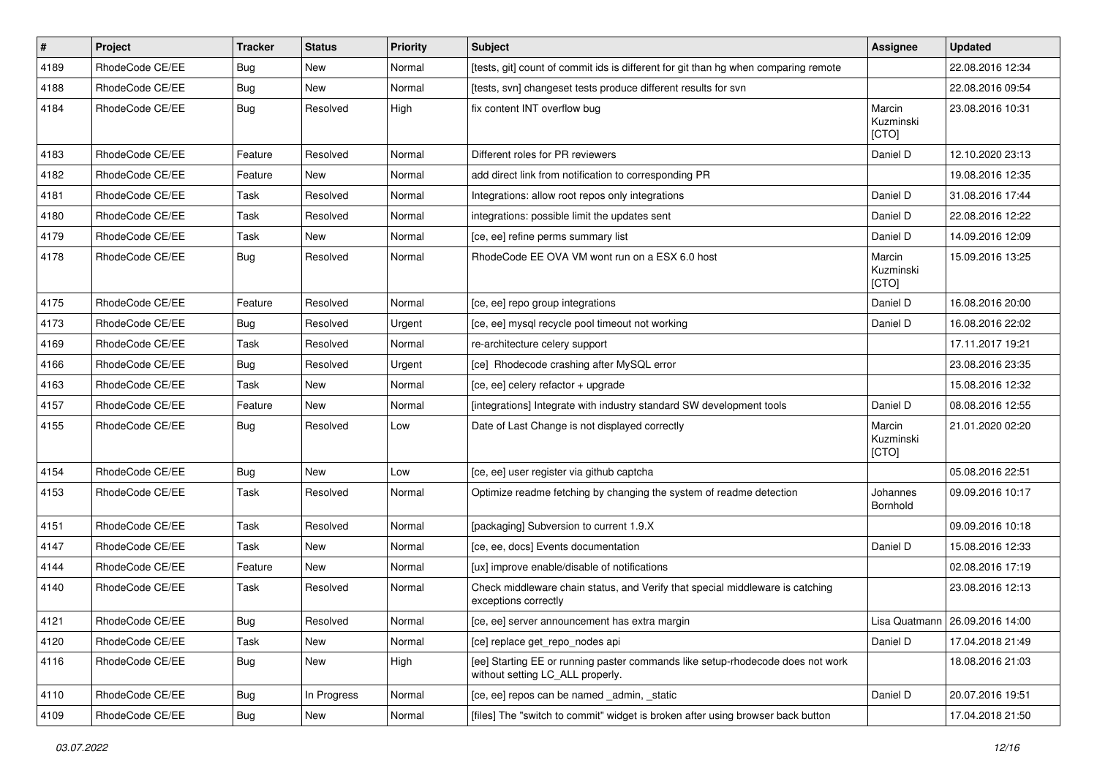| #    | Project         | <b>Tracker</b> | <b>Status</b> | <b>Priority</b> | Subject                                                                                                            | Assignee                     | <b>Updated</b>                   |
|------|-----------------|----------------|---------------|-----------------|--------------------------------------------------------------------------------------------------------------------|------------------------------|----------------------------------|
| 4189 | RhodeCode CE/EE | <b>Bug</b>     | New           | Normal          | [tests, git] count of commit ids is different for git than hg when comparing remote                                |                              | 22.08.2016 12:34                 |
| 4188 | RhodeCode CE/EE | Bug            | <b>New</b>    | Normal          | [tests, svn] changeset tests produce different results for svn                                                     |                              | 22.08.2016 09:54                 |
| 4184 | RhodeCode CE/EE | Bug            | Resolved      | High            | fix content INT overflow bug                                                                                       | Marcin<br>Kuzminski<br>[CTO] | 23.08.2016 10:31                 |
| 4183 | RhodeCode CE/EE | Feature        | Resolved      | Normal          | Different roles for PR reviewers                                                                                   | Daniel D                     | 12.10.2020 23:13                 |
| 4182 | RhodeCode CE/EE | Feature        | New           | Normal          | add direct link from notification to corresponding PR                                                              |                              | 19.08.2016 12:35                 |
| 4181 | RhodeCode CE/EE | Task           | Resolved      | Normal          | Integrations: allow root repos only integrations                                                                   | Daniel D                     | 31.08.2016 17:44                 |
| 4180 | RhodeCode CE/EE | Task           | Resolved      | Normal          | integrations: possible limit the updates sent                                                                      | Daniel D                     | 22.08.2016 12:22                 |
| 4179 | RhodeCode CE/EE | Task           | New           | Normal          | [ce, ee] refine perms summary list                                                                                 | Daniel D                     | 14.09.2016 12:09                 |
| 4178 | RhodeCode CE/EE | Bug            | Resolved      | Normal          | RhodeCode EE OVA VM wont run on a ESX 6.0 host                                                                     | Marcin<br>Kuzminski<br>[CTO] | 15.09.2016 13:25                 |
| 4175 | RhodeCode CE/EE | Feature        | Resolved      | Normal          | [ce, ee] repo group integrations                                                                                   | Daniel D                     | 16.08.2016 20:00                 |
| 4173 | RhodeCode CE/EE | Bug            | Resolved      | Urgent          | [ce, ee] mysql recycle pool timeout not working                                                                    | Daniel D                     | 16.08.2016 22:02                 |
| 4169 | RhodeCode CE/EE | Task           | Resolved      | Normal          | re-architecture celery support                                                                                     |                              | 17.11.2017 19:21                 |
| 4166 | RhodeCode CE/EE | Bug            | Resolved      | Urgent          | [ce] Rhodecode crashing after MySQL error                                                                          |                              | 23.08.2016 23:35                 |
| 4163 | RhodeCode CE/EE | Task           | New           | Normal          | [ce, ee] celery refactor + upgrade                                                                                 |                              | 15.08.2016 12:32                 |
| 4157 | RhodeCode CE/EE | Feature        | New           | Normal          | [integrations] Integrate with industry standard SW development tools                                               | Daniel D                     | 08.08.2016 12:55                 |
| 4155 | RhodeCode CE/EE | Bug            | Resolved      | Low             | Date of Last Change is not displayed correctly                                                                     | Marcin<br>Kuzminski<br>[CTO] | 21.01.2020 02:20                 |
| 4154 | RhodeCode CE/EE | Bug            | New           | Low             | [ce, ee] user register via github captcha                                                                          |                              | 05.08.2016 22:51                 |
| 4153 | RhodeCode CE/EE | Task           | Resolved      | Normal          | Optimize readme fetching by changing the system of readme detection                                                | Johannes<br>Bornhold         | 09.09.2016 10:17                 |
| 4151 | RhodeCode CE/EE | Task           | Resolved      | Normal          | [packaging] Subversion to current 1.9.X                                                                            |                              | 09.09.2016 10:18                 |
| 4147 | RhodeCode CE/EE | Task           | New           | Normal          | [ce, ee, docs] Events documentation                                                                                | Daniel D                     | 15.08.2016 12:33                 |
| 4144 | RhodeCode CE/EE | Feature        | <b>New</b>    | Normal          | [ux] improve enable/disable of notifications                                                                       |                              | 02.08.2016 17:19                 |
| 4140 | RhodeCode CE/EE | Task           | Resolved      | Normal          | Check middleware chain status, and Verify that special middleware is catching<br>exceptions correctly              |                              | 23.08.2016 12:13                 |
| 4121 | RhodeCode CE/EE | Bug            | Resolved      | Normal          | [ce, ee] server announcement has extra margin                                                                      |                              | Lisa Quatmann   26.09.2016 14:00 |
| 4120 | RhodeCode CE/EE | Task           | New           | Normal          | [ce] replace get repo nodes api                                                                                    | Daniel D                     | 17.04.2018 21:49                 |
| 4116 | RhodeCode CE/EE | <b>Bug</b>     | New           | High            | [ee] Starting EE or running paster commands like setup-rhodecode does not work<br>without setting LC_ALL properly. |                              | 18.08.2016 21:03                 |
| 4110 | RhodeCode CE/EE | <b>Bug</b>     | In Progress   | Normal          | [ce, ee] repos can be named _admin, _static                                                                        | Daniel D                     | 20.07.2016 19:51                 |
| 4109 | RhodeCode CE/EE | <b>Bug</b>     | New           | Normal          | [files] The "switch to commit" widget is broken after using browser back button                                    |                              | 17.04.2018 21:50                 |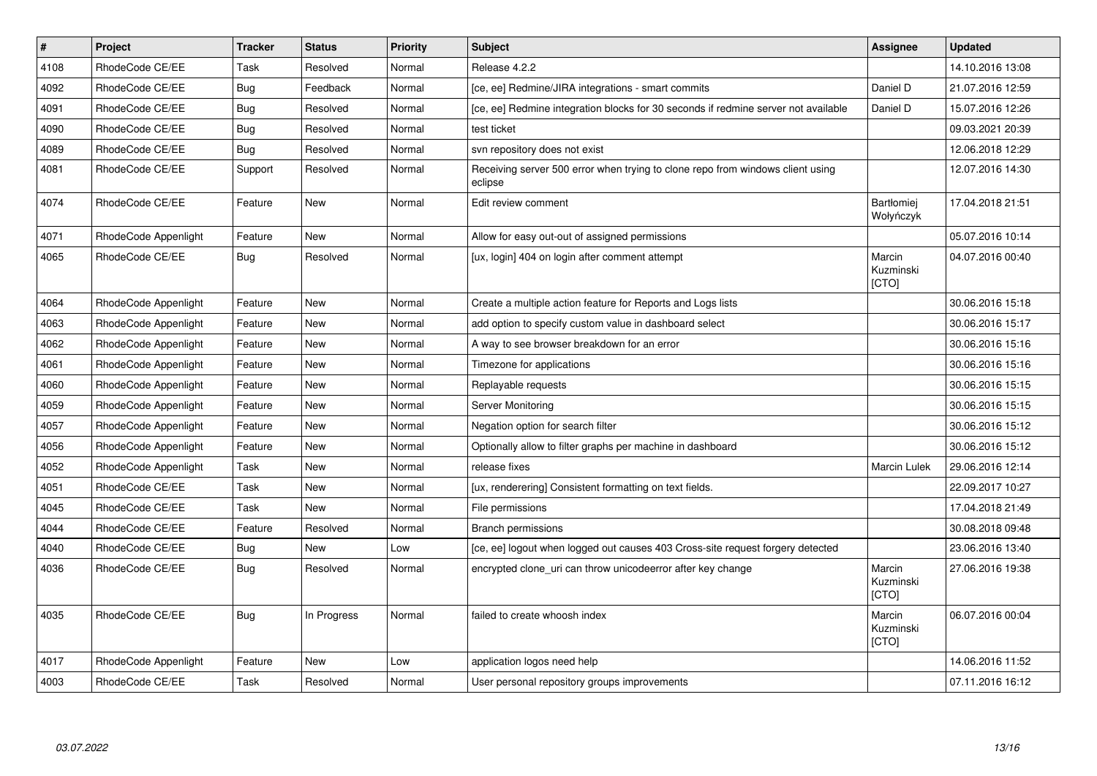| $\sharp$ | Project              | <b>Tracker</b> | <b>Status</b> | <b>Priority</b> | <b>Subject</b>                                                                            | Assignee                     | <b>Updated</b>   |
|----------|----------------------|----------------|---------------|-----------------|-------------------------------------------------------------------------------------------|------------------------------|------------------|
| 4108     | RhodeCode CE/EE      | Task           | Resolved      | Normal          | Release 4.2.2                                                                             |                              | 14.10.2016 13:08 |
| 4092     | RhodeCode CE/EE      | Bug            | Feedback      | Normal          | [ce, ee] Redmine/JIRA integrations - smart commits                                        | Daniel D                     | 21.07.2016 12:59 |
| 4091     | RhodeCode CE/EE      | <b>Bug</b>     | Resolved      | Normal          | [ce, ee] Redmine integration blocks for 30 seconds if redmine server not available        | Daniel D                     | 15.07.2016 12:26 |
| 4090     | RhodeCode CE/EE      | Bug            | Resolved      | Normal          | test ticket                                                                               |                              | 09.03.2021 20:39 |
| 4089     | RhodeCode CE/EE      | Bug            | Resolved      | Normal          | svn repository does not exist                                                             |                              | 12.06.2018 12:29 |
| 4081     | RhodeCode CE/EE      | Support        | Resolved      | Normal          | Receiving server 500 error when trying to clone repo from windows client using<br>eclipse |                              | 12.07.2016 14:30 |
| 4074     | RhodeCode CE/EE      | Feature        | <b>New</b>    | Normal          | Edit review comment                                                                       | Bartłomiej<br>Wołyńczyk      | 17.04.2018 21:51 |
| 4071     | RhodeCode Appenlight | Feature        | <b>New</b>    | Normal          | Allow for easy out-out of assigned permissions                                            |                              | 05.07.2016 10:14 |
| 4065     | RhodeCode CE/EE      | Bug            | Resolved      | Normal          | [ux, login] 404 on login after comment attempt                                            | Marcin<br>Kuzminski<br>[CTO] | 04.07.2016 00:40 |
| 4064     | RhodeCode Appenlight | Feature        | <b>New</b>    | Normal          | Create a multiple action feature for Reports and Logs lists                               |                              | 30.06.2016 15:18 |
| 4063     | RhodeCode Appenlight | Feature        | <b>New</b>    | Normal          | add option to specify custom value in dashboard select                                    |                              | 30.06.2016 15:17 |
| 4062     | RhodeCode Appenlight | Feature        | <b>New</b>    | Normal          | A way to see browser breakdown for an error                                               |                              | 30.06.2016 15:16 |
| 4061     | RhodeCode Appenlight | Feature        | New           | Normal          | Timezone for applications                                                                 |                              | 30.06.2016 15:16 |
| 4060     | RhodeCode Appenlight | Feature        | <b>New</b>    | Normal          | Replayable requests                                                                       |                              | 30.06.2016 15:15 |
| 4059     | RhodeCode Appenlight | Feature        | <b>New</b>    | Normal          | Server Monitoring                                                                         |                              | 30.06.2016 15:15 |
| 4057     | RhodeCode Appenlight | Feature        | <b>New</b>    | Normal          | Negation option for search filter                                                         |                              | 30.06.2016 15:12 |
| 4056     | RhodeCode Appenlight | Feature        | New           | Normal          | Optionally allow to filter graphs per machine in dashboard                                |                              | 30.06.2016 15:12 |
| 4052     | RhodeCode Appenlight | Task           | <b>New</b>    | Normal          | release fixes                                                                             | <b>Marcin Lulek</b>          | 29.06.2016 12:14 |
| 4051     | RhodeCode CE/EE      | Task           | <b>New</b>    | Normal          | [ux, renderering] Consistent formatting on text fields.                                   |                              | 22.09.2017 10:27 |
| 4045     | RhodeCode CE/EE      | Task           | <b>New</b>    | Normal          | File permissions                                                                          |                              | 17.04.2018 21:49 |
| 4044     | RhodeCode CE/EE      | Feature        | Resolved      | Normal          | <b>Branch permissions</b>                                                                 |                              | 30.08.2018 09:48 |
| 4040     | RhodeCode CE/EE      | Bug            | <b>New</b>    | Low             | [ce, ee] logout when logged out causes 403 Cross-site request forgery detected            |                              | 23.06.2016 13:40 |
| 4036     | RhodeCode CE/EE      | Bug            | Resolved      | Normal          | encrypted clone_uri can throw unicodeerror after key change                               | Marcin<br>Kuzminski<br>[CTO] | 27.06.2016 19:38 |
| 4035     | RhodeCode CE/EE      | <b>Bug</b>     | In Progress   | Normal          | failed to create whoosh index                                                             | Marcin<br>Kuzminski<br>[CTO] | 06.07.2016 00:04 |
| 4017     | RhodeCode Appenlight | Feature        | New           | Low             | application logos need help                                                               |                              | 14.06.2016 11:52 |
| 4003     | RhodeCode CE/EE      | Task           | Resolved      | Normal          | User personal repository groups improvements                                              |                              | 07.11.2016 16:12 |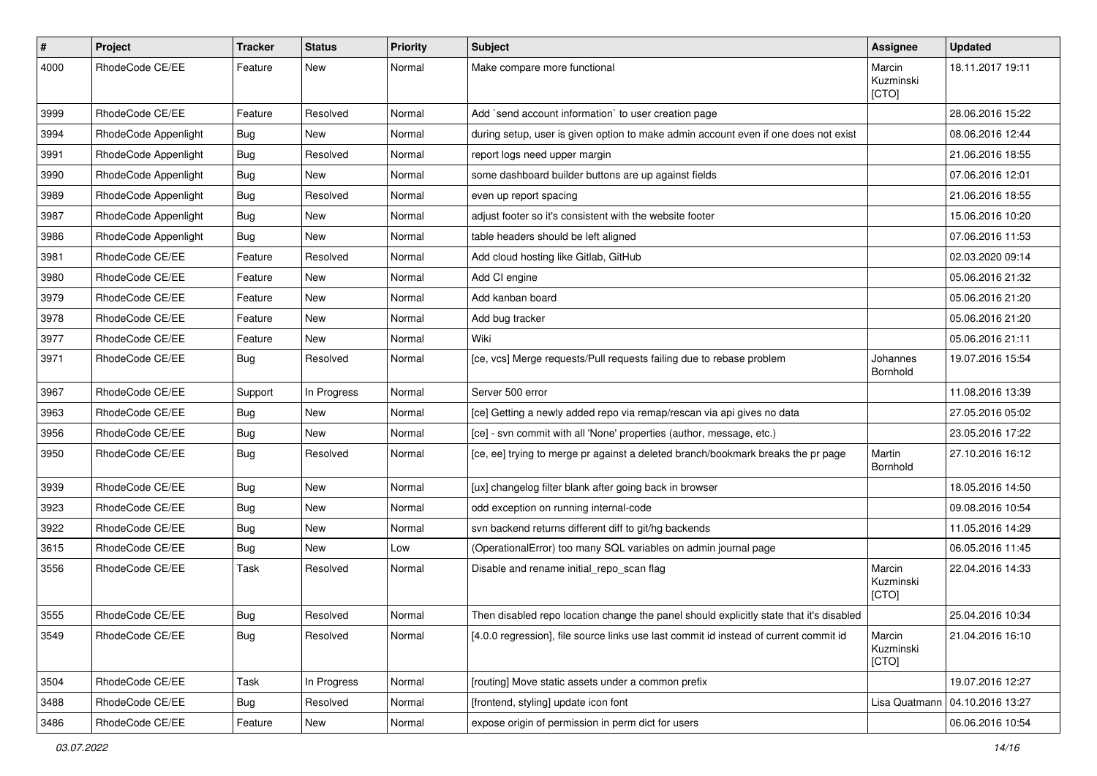| $\#$ | Project              | Tracker    | <b>Status</b> | <b>Priority</b> | <b>Subject</b>                                                                          | Assignee                     | <b>Updated</b>   |
|------|----------------------|------------|---------------|-----------------|-----------------------------------------------------------------------------------------|------------------------------|------------------|
| 4000 | RhodeCode CE/EE      | Feature    | New           | Normal          | Make compare more functional                                                            | Marcin<br>Kuzminski<br>[CTO] | 18.11.2017 19:11 |
| 3999 | RhodeCode CE/EE      | Feature    | Resolved      | Normal          | Add `send account information` to user creation page                                    |                              | 28.06.2016 15:22 |
| 3994 | RhodeCode Appenlight | Bug        | <b>New</b>    | Normal          | during setup, user is given option to make admin account even if one does not exist     |                              | 08.06.2016 12:44 |
| 3991 | RhodeCode Appenlight | <b>Bug</b> | Resolved      | Normal          | report logs need upper margin                                                           |                              | 21.06.2016 18:55 |
| 3990 | RhodeCode Appenlight | <b>Bug</b> | New           | Normal          | some dashboard builder buttons are up against fields                                    |                              | 07.06.2016 12:01 |
| 3989 | RhodeCode Appenlight | Bug        | Resolved      | Normal          | even up report spacing                                                                  |                              | 21.06.2016 18:55 |
| 3987 | RhodeCode Appenlight | <b>Bug</b> | New           | Normal          | adjust footer so it's consistent with the website footer                                |                              | 15.06.2016 10:20 |
| 3986 | RhodeCode Appenlight | Bug        | <b>New</b>    | Normal          | table headers should be left aligned                                                    |                              | 07.06.2016 11:53 |
| 3981 | RhodeCode CE/EE      | Feature    | Resolved      | Normal          | Add cloud hosting like Gitlab, GitHub                                                   |                              | 02.03.2020 09:14 |
| 3980 | RhodeCode CE/EE      | Feature    | New           | Normal          | Add CI engine                                                                           |                              | 05.06.2016 21:32 |
| 3979 | RhodeCode CE/EE      | Feature    | New           | Normal          | Add kanban board                                                                        |                              | 05.06.2016 21:20 |
| 3978 | RhodeCode CE/EE      | Feature    | New           | Normal          | Add bug tracker                                                                         |                              | 05.06.2016 21:20 |
| 3977 | RhodeCode CE/EE      | Feature    | <b>New</b>    | Normal          | Wiki                                                                                    |                              | 05.06.2016 21:11 |
| 3971 | RhodeCode CE/EE      | Bug        | Resolved      | Normal          | [ce, vcs] Merge requests/Pull requests failing due to rebase problem                    | Johannes<br>Bornhold         | 19.07.2016 15:54 |
| 3967 | RhodeCode CE/EE      | Support    | In Progress   | Normal          | Server 500 error                                                                        |                              | 11.08.2016 13:39 |
| 3963 | RhodeCode CE/EE      | <b>Bug</b> | New           | Normal          | [ce] Getting a newly added repo via remap/rescan via api gives no data                  |                              | 27.05.2016 05:02 |
| 3956 | RhodeCode CE/EE      | <b>Bug</b> | <b>New</b>    | Normal          | [ce] - svn commit with all 'None' properties (author, message, etc.)                    |                              | 23.05.2016 17:22 |
| 3950 | RhodeCode CE/EE      | Bug        | Resolved      | Normal          | [ce, ee] trying to merge pr against a deleted branch/bookmark breaks the pr page        | Martin<br>Bornhold           | 27.10.2016 16:12 |
| 3939 | RhodeCode CE/EE      | <b>Bug</b> | <b>New</b>    | Normal          | [ux] changelog filter blank after going back in browser                                 |                              | 18.05.2016 14:50 |
| 3923 | RhodeCode CE/EE      | <b>Bug</b> | New           | Normal          | odd exception on running internal-code                                                  |                              | 09.08.2016 10:54 |
| 3922 | RhodeCode CE/EE      | <b>Bug</b> | New           | Normal          | svn backend returns different diff to git/hg backends                                   |                              | 11.05.2016 14:29 |
| 3615 | RhodeCode CE/EE      | <b>Bug</b> | New           | Low             | (OperationalError) too many SQL variables on admin journal page                         |                              | 06.05.2016 11:45 |
| 3556 | RhodeCode CE/EE      | Task       | Resolved      | Normal          | Disable and rename initial_repo_scan flag                                               | Marcin<br>Kuzminski<br>[CTO] | 22.04.2016 14:33 |
| 3555 | RhodeCode CE/EE      | Bug        | Resolved      | Normal          | Then disabled repo location change the panel should explicitly state that it's disabled |                              | 25.04.2016 10:34 |
| 3549 | RhodeCode CE/EE      | Bug        | Resolved      | Normal          | [4.0.0 regression], file source links use last commit id instead of current commit id   | Marcin<br>Kuzminski<br>[CTO] | 21.04.2016 16:10 |
| 3504 | RhodeCode CE/EE      | Task       | In Progress   | Normal          | [routing] Move static assets under a common prefix                                      |                              | 19.07.2016 12:27 |
| 3488 | RhodeCode CE/EE      | Bug        | Resolved      | Normal          | [frontend, styling] update icon font                                                    | Lisa Quatmann                | 04.10.2016 13:27 |
| 3486 | RhodeCode CE/EE      | Feature    | New           | Normal          | expose origin of permission in perm dict for users                                      |                              | 06.06.2016 10:54 |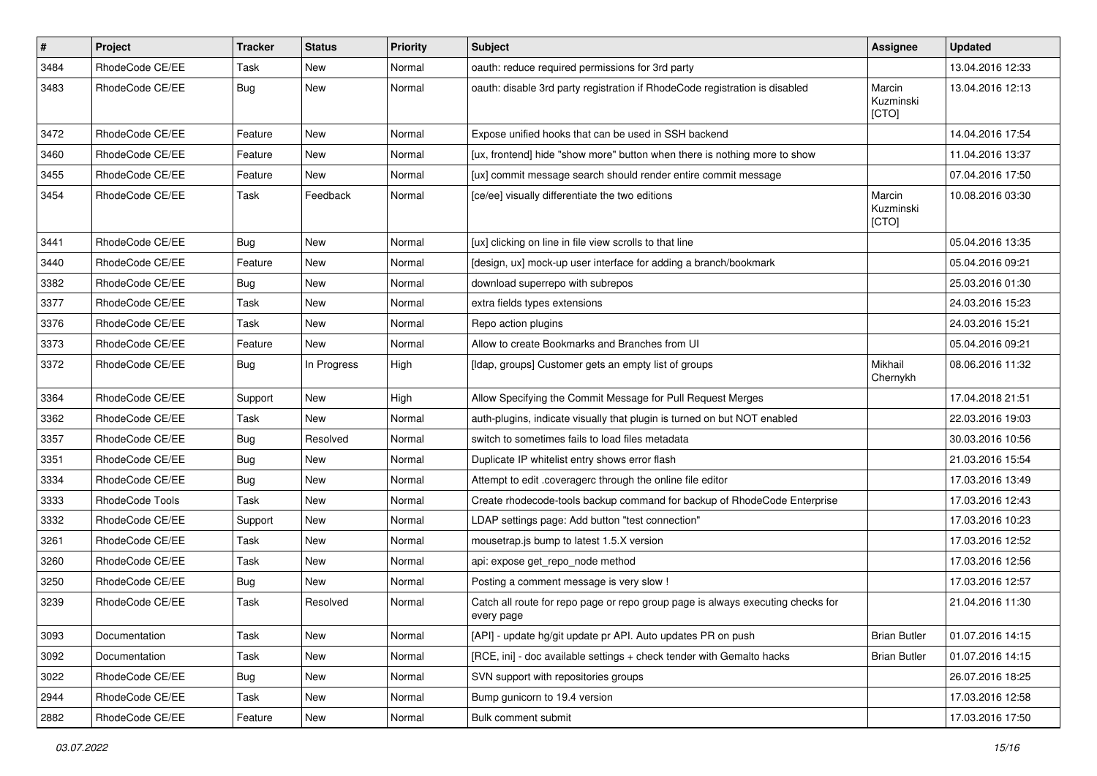| $\vert$ # | Project         | <b>Tracker</b> | <b>Status</b> | <b>Priority</b> | Subject                                                                                       | Assignee                     | <b>Updated</b>   |
|-----------|-----------------|----------------|---------------|-----------------|-----------------------------------------------------------------------------------------------|------------------------------|------------------|
| 3484      | RhodeCode CE/EE | Task           | New           | Normal          | oauth: reduce required permissions for 3rd party                                              |                              | 13.04.2016 12:33 |
| 3483      | RhodeCode CE/EE | <b>Bug</b>     | <b>New</b>    | Normal          | oauth: disable 3rd party registration if RhodeCode registration is disabled                   | Marcin<br>Kuzminski<br>[CTO] | 13.04.2016 12:13 |
| 3472      | RhodeCode CE/EE | Feature        | <b>New</b>    | Normal          | Expose unified hooks that can be used in SSH backend                                          |                              | 14.04.2016 17:54 |
| 3460      | RhodeCode CE/EE | Feature        | New           | Normal          | [ux, frontend] hide "show more" button when there is nothing more to show                     |                              | 11.04.2016 13:37 |
| 3455      | RhodeCode CE/EE | Feature        | New           | Normal          | [ux] commit message search should render entire commit message                                |                              | 07.04.2016 17:50 |
| 3454      | RhodeCode CE/EE | Task           | Feedback      | Normal          | [ce/ee] visually differentiate the two editions                                               | Marcin<br>Kuzminski<br>[CTO] | 10.08.2016 03:30 |
| 3441      | RhodeCode CE/EE | Bug            | New           | Normal          | [ux] clicking on line in file view scrolls to that line                                       |                              | 05.04.2016 13:35 |
| 3440      | RhodeCode CE/EE | Feature        | <b>New</b>    | Normal          | [design, ux] mock-up user interface for adding a branch/bookmark                              |                              | 05.04.2016 09:21 |
| 3382      | RhodeCode CE/EE | <b>Bug</b>     | <b>New</b>    | Normal          | download superrepo with subrepos                                                              |                              | 25.03.2016 01:30 |
| 3377      | RhodeCode CE/EE | Task           | New           | Normal          | extra fields types extensions                                                                 |                              | 24.03.2016 15:23 |
| 3376      | RhodeCode CE/EE | Task           | New           | Normal          | Repo action plugins                                                                           |                              | 24.03.2016 15:21 |
| 3373      | RhodeCode CE/EE | Feature        | <b>New</b>    | Normal          | Allow to create Bookmarks and Branches from UI                                                |                              | 05.04.2016 09:21 |
| 3372      | RhodeCode CE/EE | Bug            | In Progress   | High            | [Idap, groups] Customer gets an empty list of groups                                          | Mikhail<br>Chernykh          | 08.06.2016 11:32 |
| 3364      | RhodeCode CE/EE | Support        | <b>New</b>    | High            | Allow Specifying the Commit Message for Pull Request Merges                                   |                              | 17.04.2018 21:51 |
| 3362      | RhodeCode CE/EE | Task           | New           | Normal          | auth-plugins, indicate visually that plugin is turned on but NOT enabled                      |                              | 22.03.2016 19:03 |
| 3357      | RhodeCode CE/EE | Bug            | Resolved      | Normal          | switch to sometimes fails to load files metadata                                              |                              | 30.03.2016 10:56 |
| 3351      | RhodeCode CE/EE | <b>Bug</b>     | New           | Normal          | Duplicate IP whitelist entry shows error flash                                                |                              | 21.03.2016 15:54 |
| 3334      | RhodeCode CE/EE | Bug            | New           | Normal          | Attempt to edit .coveragerc through the online file editor                                    |                              | 17.03.2016 13:49 |
| 3333      | RhodeCode Tools | Task           | <b>New</b>    | Normal          | Create rhodecode-tools backup command for backup of RhodeCode Enterprise                      |                              | 17.03.2016 12:43 |
| 3332      | RhodeCode CE/EE | Support        | New           | Normal          | LDAP settings page: Add button "test connection"                                              |                              | 17.03.2016 10:23 |
| 3261      | RhodeCode CE/EE | Task           | <b>New</b>    | Normal          | mousetrap.js bump to latest 1.5.X version                                                     |                              | 17.03.2016 12:52 |
| 3260      | RhodeCode CE/EE | Task           | New           | Normal          | api: expose get_repo_node method                                                              |                              | 17.03.2016 12:56 |
| 3250      | RhodeCode CE/EE | Bug            | New           | Normal          | Posting a comment message is very slow !                                                      |                              | 17.03.2016 12:57 |
| 3239      | RhodeCode CE/EE | Task           | Resolved      | Normal          | Catch all route for repo page or repo group page is always executing checks for<br>every page |                              | 21.04.2016 11:30 |
| 3093      | Documentation   | Task           | New           | Normal          | [API] - update hg/git update pr API. Auto updates PR on push                                  | <b>Brian Butler</b>          | 01.07.2016 14:15 |
| 3092      | Documentation   | Task           | New           | Normal          | [RCE, ini] - doc available settings + check tender with Gemalto hacks                         | <b>Brian Butler</b>          | 01.07.2016 14:15 |
| 3022      | RhodeCode CE/EE | Bug            | New           | Normal          | SVN support with repositories groups                                                          |                              | 26.07.2016 18:25 |
| 2944      | RhodeCode CE/EE | Task           | New           | Normal          | Bump gunicorn to 19.4 version                                                                 |                              | 17.03.2016 12:58 |
| 2882      | RhodeCode CE/EE | Feature        | New           | Normal          | Bulk comment submit                                                                           |                              | 17.03.2016 17:50 |